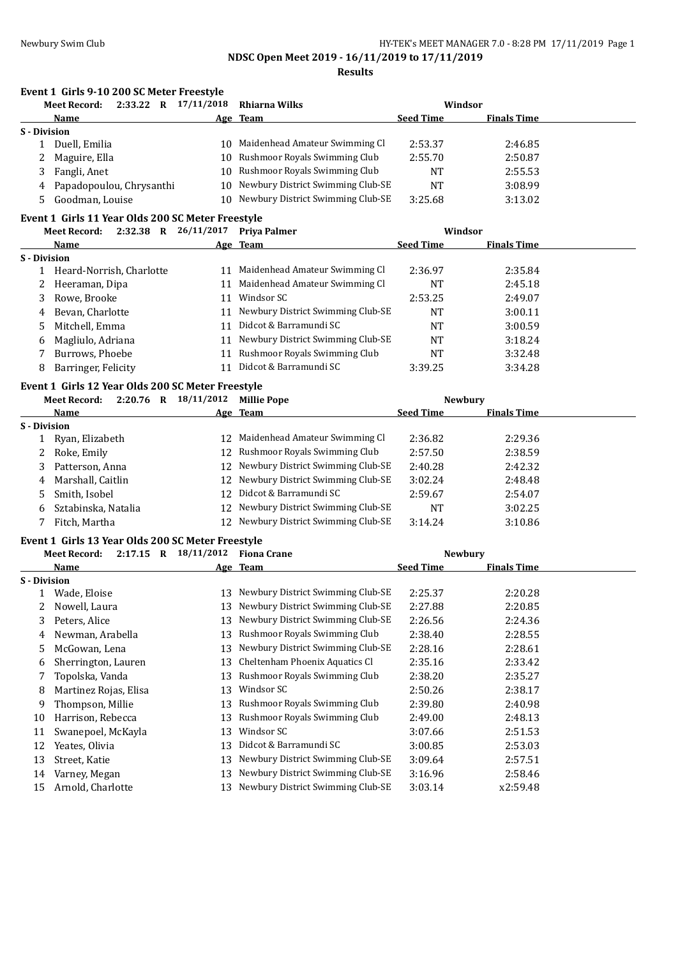|                     | Event 1 Girls 9-10 200 SC Meter Freestyle         |    |                                      |                  |                    |  |
|---------------------|---------------------------------------------------|----|--------------------------------------|------------------|--------------------|--|
|                     | 2:33.22 R 17/11/2018<br>Meet Record:              |    | <b>Rhiarna Wilks</b>                 |                  | Windsor            |  |
|                     | Name                                              |    | Age Team                             | <b>Seed Time</b> | <b>Finals Time</b> |  |
| S - Division        |                                                   |    |                                      |                  |                    |  |
|                     | 1 Duell, Emilia                                   |    | 10 Maidenhead Amateur Swimming Cl    | 2:53.37          | 2:46.85            |  |
|                     | Maguire, Ella                                     |    | 10 Rushmoor Royals Swimming Club     | 2:55.70          | 2:50.87            |  |
| 3                   | Fangli, Anet                                      |    | 10 Rushmoor Royals Swimming Club     | NT               | 2:55.53            |  |
| 4                   | Papadopoulou, Chrysanthi                          |    | 10 Newbury District Swimming Club-SE | <b>NT</b>        | 3:08.99            |  |
| 5                   | Goodman, Louise                                   |    | 10 Newbury District Swimming Club-SE | 3:25.68          | 3:13.02            |  |
|                     | Event 1 Girls 11 Year Olds 200 SC Meter Freestyle |    |                                      |                  |                    |  |
|                     | <b>Meet Record:</b>                               |    | 2:32.38 R 26/11/2017 Priya Palmer    |                  | Windsor            |  |
|                     | Name                                              |    | Age Team                             | <b>Seed Time</b> | <b>Finals Time</b> |  |
| S - Division        |                                                   |    |                                      |                  |                    |  |
|                     | 1 Heard-Norrish, Charlotte                        |    | 11 Maidenhead Amateur Swimming Cl    | 2:36.97          | 2:35.84            |  |
| 2                   | Heeraman, Dipa                                    |    | 11 Maidenhead Amateur Swimming Cl    | <b>NT</b>        | 2:45.18            |  |
| 3                   | Rowe, Brooke                                      |    | 11 Windsor SC                        | 2:53.25          | 2:49.07            |  |
| 4                   | Bevan, Charlotte                                  |    | 11 Newbury District Swimming Club-SE | NT               | 3:00.11            |  |
| 5                   | Mitchell, Emma                                    |    | 11 Didcot & Barramundi SC            | NT               | 3:00.59            |  |
| 6                   | Magliulo, Adriana                                 |    | 11 Newbury District Swimming Club-SE | NT               | 3:18.24            |  |
| 7                   | Burrows, Phoebe                                   |    | 11 Rushmoor Royals Swimming Club     | NT               | 3:32.48            |  |
| 8                   | Barringer, Felicity                               |    | 11 Didcot & Barramundi SC            | 3:39.25          | 3:34.28            |  |
|                     | Event 1 Girls 12 Year Olds 200 SC Meter Freestyle |    |                                      |                  |                    |  |
|                     | 2:20.76 R 18/11/2012<br>Meet Record:              |    | <b>Millie Pope</b>                   |                  | <b>Newbury</b>     |  |
|                     | <b>Name</b>                                       |    | Age Team                             | <b>Seed Time</b> | <b>Finals Time</b> |  |
| S - Division        |                                                   |    |                                      |                  |                    |  |
| 1                   | Ryan, Elizabeth                                   |    | 12 Maidenhead Amateur Swimming Cl    | 2:36.82          | 2:29.36            |  |
| 2                   | Roke, Emily                                       |    | 12 Rushmoor Royals Swimming Club     | 2:57.50          | 2:38.59            |  |
| 3                   | Patterson, Anna                                   |    | 12 Newbury District Swimming Club-SE | 2:40.28          | 2:42.32            |  |
| 4                   | Marshall, Caitlin                                 |    | 12 Newbury District Swimming Club-SE | 3:02.24          | 2:48.48            |  |
| 5                   | Smith, Isobel                                     | 12 | Didcot & Barramundi SC               | 2:59.67          | 2:54.07            |  |
| 6                   | Sztabinska, Natalia                               |    | 12 Newbury District Swimming Club-SE | <b>NT</b>        | 3:02.25            |  |
| 7                   | Fitch, Martha                                     |    | 12 Newbury District Swimming Club-SE | 3:14.24          | 3:10.86            |  |
|                     |                                                   |    |                                      |                  |                    |  |
|                     | Event 1 Girls 13 Year Olds 200 SC Meter Freestyle |    |                                      |                  |                    |  |
|                     | $2:17.15$ R $18/11/2012$<br><b>Meet Record:</b>   |    | <b>Fiona Crane</b>                   |                  | Newbury            |  |
|                     | Name                                              |    | Age Team                             | <b>Seed Time</b> | <b>Finals Time</b> |  |
| <b>S</b> - Division |                                                   |    | 13 Newbury District Swimming Club-SE | 2:25.37          |                    |  |
|                     | 1 Wade, Eloise                                    |    | 13 Newbury District Swimming Club-SE |                  | 2:20.28            |  |
| 2                   | Nowell, Laura                                     |    |                                      | 2:27.88          | 2:20.85            |  |
| 3                   | Peters, Alice                                     |    | 13 Newbury District Swimming Club-SE | 2:26.56          | 2:24.36            |  |
| 4                   | Newman, Arabella                                  |    | 13 Rushmoor Royals Swimming Club     | 2:38.40          | 2:28.55            |  |
| 5                   | McGowan, Lena                                     |    | 13 Newbury District Swimming Club-SE | 2:28.16          | 2:28.61            |  |
| 6                   | Sherrington, Lauren                               |    | 13 Cheltenham Phoenix Aquatics Cl    | 2:35.16          | 2:33.42            |  |
| 7                   | Topolska, Vanda                                   |    | 13 Rushmoor Royals Swimming Club     | 2:38.20          | 2:35.27            |  |
| 8                   | Martinez Rojas, Elisa                             | 13 | Windsor SC                           | 2:50.26          | 2:38.17            |  |
| 9                   | Thompson, Millie                                  |    | 13 Rushmoor Royals Swimming Club     | 2:39.80          | 2:40.98            |  |
| 10                  | Harrison, Rebecca                                 | 13 | Rushmoor Royals Swimming Club        | 2:49.00          | 2:48.13            |  |
| 11                  | Swanepoel, McKayla                                | 13 | Windsor SC                           | 3:07.66          | 2:51.53            |  |
| 12                  | Yeates, Olivia                                    | 13 | Didcot & Barramundi SC               | 3:00.85          | 2:53.03            |  |
| 13                  | Street, Katie                                     | 13 | Newbury District Swimming Club-SE    | 3:09.64          | 2:57.51            |  |
| 14                  | Varney, Megan                                     | 13 | Newbury District Swimming Club-SE    | 3:16.96          | 2:58.46            |  |
| 15                  | Arnold, Charlotte                                 |    | 13 Newbury District Swimming Club-SE | 3:03.14          | x2:59.48           |  |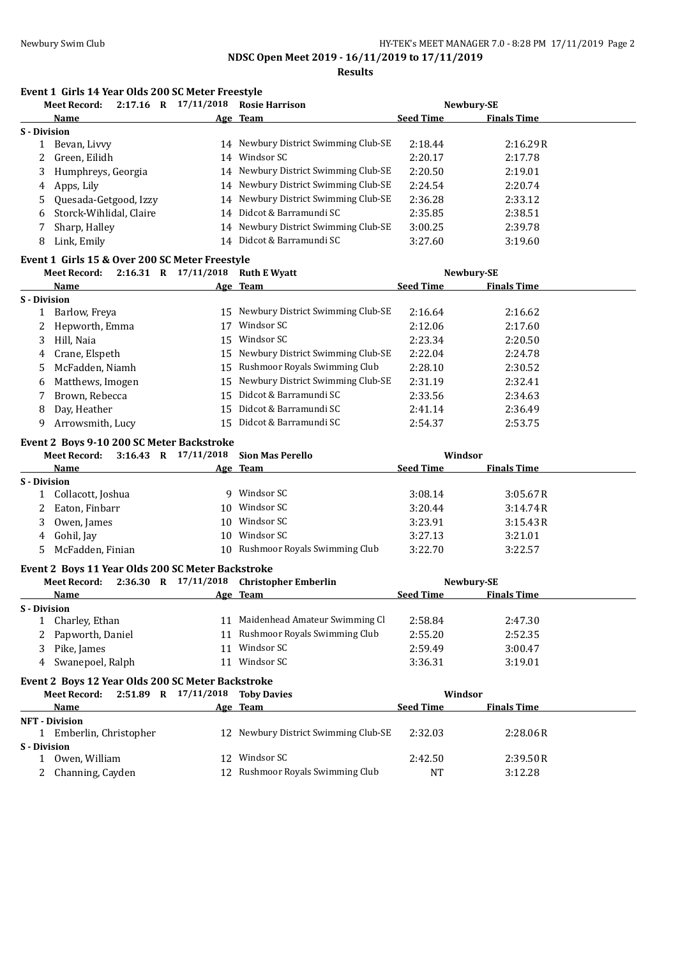**Results**

## **Event 1 Girls 14 Year Olds 200 SC Meter Freestyle**

|                     | <b>Meet Record:</b>     | 2:17.16 | R | 17/11/2018 | <b>Rosie Harrison</b>                |                  | Newbury-SE         |  |
|---------------------|-------------------------|---------|---|------------|--------------------------------------|------------------|--------------------|--|
|                     | Name                    |         |   |            | Age Team                             | <b>Seed Time</b> | <b>Finals Time</b> |  |
| <b>S</b> - Division |                         |         |   |            |                                      |                  |                    |  |
|                     | Bevan, Livvy            |         |   |            | 14 Newbury District Swimming Club-SE | 2:18.44          | 2:16.29R           |  |
| 2                   | Green, Eilidh           |         |   | 14         | Windsor SC                           | 2:20.17          | 2:17.78            |  |
| 3                   | Humphreys, Georgia      |         |   |            | 14 Newbury District Swimming Club-SE | 2:20.50          | 2:19.01            |  |
| 4                   | Apps, Lily              |         |   |            | 14 Newbury District Swimming Club-SE | 2:24.54          | 2:20.74            |  |
| 5.                  | Quesada-Getgood, Izzy   |         |   |            | 14 Newbury District Swimming Club-SE | 2:36.28          | 2:33.12            |  |
| 6                   | Storck-Wihlidal, Claire |         |   |            | 14 Didcot & Barramundi SC            | 2:35.85          | 2:38.51            |  |
|                     | Sharp, Halley           |         |   | 14         | Newbury District Swimming Club-SE    | 3:00.25          | 2:39.78            |  |
| 8                   | Link, Emily             |         |   | 14         | Didcot & Barramundi SC               | 3:27.60          | 3:19.60            |  |

## **Event 1 Girls 15 & Over 200 SC Meter Freestyle**

|              | <b>Meet Record:</b> | 2:16.31 R | 17/11/2018 | <b>Ruth E Wyatt</b>                  |                  | Newbury-SE         |  |
|--------------|---------------------|-----------|------------|--------------------------------------|------------------|--------------------|--|
|              | Name                |           |            | Age Team                             | <b>Seed Time</b> | <b>Finals Time</b> |  |
| S - Division |                     |           |            |                                      |                  |                    |  |
|              | Barlow, Freya       |           |            | 15 Newbury District Swimming Club-SE | 2:16.64          | 2:16.62            |  |
| 2            | Hepworth, Emma      |           | 17         | Windsor SC                           | 2:12.06          | 2:17.60            |  |
| 3            | Hill, Naia          |           |            | 15 Windsor SC                        | 2:23.34          | 2:20.50            |  |
| 4            | Crane, Elspeth      |           |            | 15 Newbury District Swimming Club-SE | 2:22.04          | 2:24.78            |  |
|              | 5 McFadden, Niamh   |           |            | 15 Rushmoor Royals Swimming Club     | 2:28.10          | 2:30.52            |  |
| 6            | Matthews, Imogen    |           |            | 15 Newbury District Swimming Club-SE | 2:31.19          | 2:32.41            |  |
|              | Brown, Rebecca      |           |            | 15 Didcot & Barramundi SC            | 2:33.56          | 2:34.63            |  |
| 8            | Day, Heather        |           |            | 15 Didcot & Barramundi SC            | 2:41.14          | 2:36.49            |  |
| 9            | Arrowsmith, Lucy    |           |            | 15 Didcot & Barramundi SC            | 2:54.37          | 2:53.75            |  |

#### **Event 2 Boys 9-10 200 SC Meter Backstroke**

|              | <b>Meet Record:</b> |     | 3:16.43 R 17/11/2018 Sion Mas Perello | Windsor          |                    |  |
|--------------|---------------------|-----|---------------------------------------|------------------|--------------------|--|
|              | Name                |     | Age Team                              | <b>Seed Time</b> | <b>Finals Time</b> |  |
| S - Division |                     |     |                                       |                  |                    |  |
|              | Collacott, Joshua   | q   | Windsor SC                            | 3:08.14          | 3:05.67R           |  |
|              | 2 Eaton, Finbarr    | 10  | Windsor SC                            | 3:20.44          | 3:14.74R           |  |
|              | Owen, James         | 10  | Windsor SC                            | 3:23.91          | 3:15.43R           |  |
|              | 4 Gohil, Jay        | 10. | Windsor SC                            | 3:27.13          | 3:21.01            |  |
|              | 5 McFadden, Finian  | 10  | Rushmoor Royals Swimming Club         | 3:22.70          | 3:22.57            |  |

#### **Event 2 Boys 11 Year Olds 200 SC Meter Backstroke**

|              | <b>Meet Record:</b> |    | $2:36.30$ R $17/11/2018$ Christopher Emberlin |                  | Newbury-SE         |  |
|--------------|---------------------|----|-----------------------------------------------|------------------|--------------------|--|
|              | Name                |    | Age Team                                      | <b>Seed Time</b> | <b>Finals Time</b> |  |
| S - Division |                     |    |                                               |                  |                    |  |
|              | Charley, Ethan      |    | 11 Maidenhead Amateur Swimming Cl             | 2:58.84          | 2:47.30            |  |
|              | Papworth, Daniel    |    | 11 Rushmoor Royals Swimming Club              | 2:55.20          | 2:52.35            |  |
|              | Pike, James         |    | Windsor SC                                    | 2:59.49          | 3:00.47            |  |
|              | 4 Swanepoel, Ralph  | 11 | Windsor SC                                    | 3:36.31          | 3:19.01            |  |

### **Event 2 Boys 12 Year Olds 200 SC Meter Backstroke**

|              | Meet Record:          | 2:51.89 R 17/11/2018 Toby Davies |                                      |                  | Windsor            |  |
|--------------|-----------------------|----------------------------------|--------------------------------------|------------------|--------------------|--|
|              | Name                  |                                  | Age Team                             | <b>Seed Time</b> | <b>Finals Time</b> |  |
|              | <b>NFT</b> - Division |                                  |                                      |                  |                    |  |
|              | Emberlin, Christopher |                                  | 12 Newbury District Swimming Club-SE | 2:32.03          | 2:28.06R           |  |
| S - Division |                       |                                  |                                      |                  |                    |  |
|              | Owen, William         | 12 <sup>1</sup>                  | Windsor SC                           | 2:42.50          | 2:39.50R           |  |
|              | 2 Channing, Cayden    |                                  | 12 Rushmoor Royals Swimming Club     | NΤ               | 3:12.28            |  |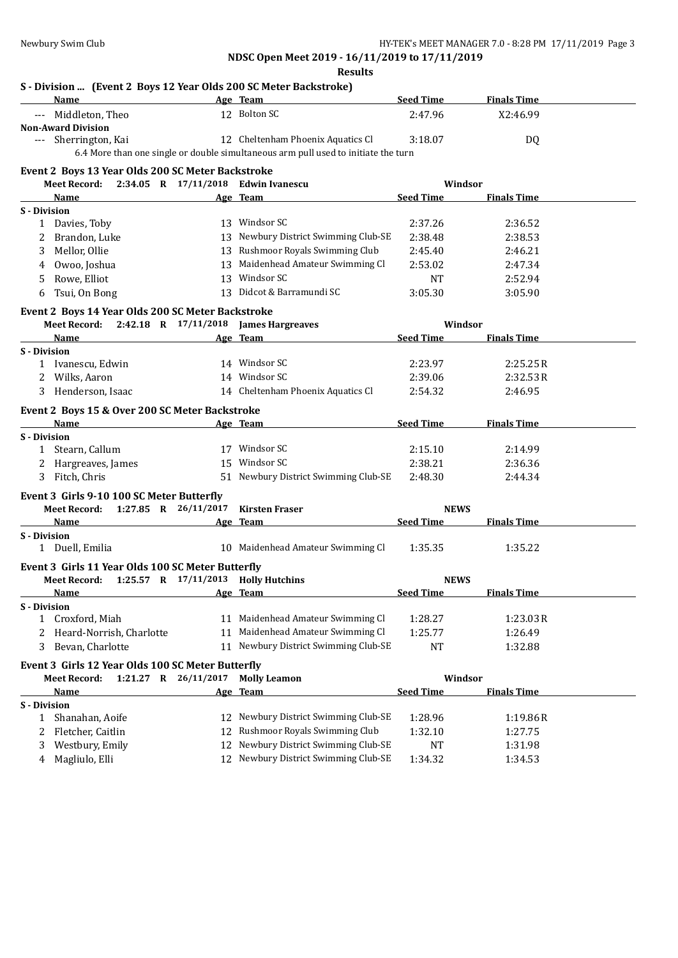**NDSC Open Meet 2019 - 16/11/2019 to 17/11/2019 Results**

| S - Division  (Event 2 Boys 12 Year Olds 200 SC Meter Backstroke)<br>Name |    | Age Team                                                                           | <b>Seed Time</b> | <b>Finals Time</b> |
|---------------------------------------------------------------------------|----|------------------------------------------------------------------------------------|------------------|--------------------|
| --- Middleton, Theo                                                       |    | 12 Bolton SC                                                                       | 2:47.96          | X2:46.99           |
| <b>Non-Award Division</b>                                                 |    |                                                                                    |                  |                    |
| --- Sherrington, Kai                                                      |    | 12 Cheltenham Phoenix Aquatics Cl                                                  | 3:18.07          | DQ                 |
|                                                                           |    | 6.4 More than one single or double simultaneous arm pull used to initiate the turn |                  |                    |
| Event 2 Boys 13 Year Olds 200 SC Meter Backstroke                         |    |                                                                                    |                  |                    |
| <b>Meet Record:</b>                                                       |    | 2:34.05 R 17/11/2018 Edwin Ivanescu                                                | Windsor          |                    |
| Name                                                                      |    | Age Team                                                                           | <b>Seed Time</b> | <b>Finals Time</b> |
| S - Division                                                              |    |                                                                                    |                  |                    |
| 1 Davies, Toby                                                            |    | 13 Windsor SC                                                                      | 2:37.26          | 2:36.52            |
| 2<br>Brandon, Luke                                                        |    | 13 Newbury District Swimming Club-SE                                               | 2:38.48          | 2:38.53            |
| Mellor, Ollie<br>3                                                        |    | 13 Rushmoor Royals Swimming Club                                                   | 2:45.40          | 2:46.21            |
| Owoo, Joshua<br>4                                                         |    | 13 Maidenhead Amateur Swimming Cl                                                  | 2:53.02          | 2:47.34            |
| Rowe, Elliot<br>5.                                                        |    | 13 Windsor SC                                                                      | <b>NT</b>        | 2:52.94            |
| Tsui, On Bong<br>6                                                        |    | 13 Didcot & Barramundi SC                                                          | 3:05.30          | 3:05.90            |
|                                                                           |    |                                                                                    |                  |                    |
| Event 2 Boys 14 Year Olds 200 SC Meter Backstroke                         |    |                                                                                    |                  |                    |
| Meet Record: 2:42.18 R 17/11/2018 James Hargreaves                        |    |                                                                                    | Windsor          |                    |
| Name                                                                      |    | Age Team                                                                           | <b>Seed Time</b> | <b>Finals Time</b> |
| <b>S</b> - Division<br>1 Ivanescu, Edwin                                  |    | 14 Windsor SC                                                                      | 2:23.97          | 2:25.25R           |
| Wilks, Aaron                                                              |    | 14 Windsor SC                                                                      | 2:39.06          | 2:32.53R           |
| 3 Henderson, Isaac                                                        |    | 14 Cheltenham Phoenix Aquatics Cl                                                  | 2:54.32          | 2:46.95            |
|                                                                           |    |                                                                                    |                  |                    |
| Event 2 Boys 15 & Over 200 SC Meter Backstroke                            |    |                                                                                    |                  |                    |
| Name                                                                      |    | Age Team                                                                           | <b>Seed Time</b> | <b>Finals Time</b> |
| S - Division                                                              |    |                                                                                    |                  |                    |
| 1 Stearn, Callum                                                          |    | 17 Windsor SC                                                                      | 2:15.10          | 2:14.99            |
| 2 Hargreaves, James                                                       |    | 15 Windsor SC                                                                      | 2:38.21          | 2:36.36            |
| 3 Fitch, Chris                                                            |    | 51 Newbury District Swimming Club-SE                                               | 2:48.30          | 2:44.34            |
| Event 3 Girls 9-10 100 SC Meter Butterfly                                 |    |                                                                                    |                  |                    |
| 1:27.85 R 26/11/2017<br><b>Meet Record:</b>                               |    | <b>Kirsten Fraser</b>                                                              | <b>NEWS</b>      |                    |
| Name                                                                      |    | Age Team                                                                           | <b>Seed Time</b> | <b>Finals Time</b> |
| <b>S</b> - Division                                                       |    |                                                                                    |                  |                    |
| 1 Duell, Emilia                                                           |    | 10 Maidenhead Amateur Swimming Cl                                                  | 1:35.35          | 1:35.22            |
| Event 3 Girls 11 Year Olds 100 SC Meter Butterfly                         |    |                                                                                    |                  |                    |
| Meet Record: 1:25.57 R 17/11/2013 Holly Hutchins                          |    |                                                                                    | <b>NEWS</b>      |                    |
| <u>Name</u>                                                               |    | Age Team                                                                           | <b>Seed Time</b> | <b>Finals Time</b> |
| <b>S</b> - Division                                                       |    |                                                                                    |                  |                    |
| 1 Croxford, Miah                                                          |    | 11 Maidenhead Amateur Swimming Cl                                                  | 1:28.27          | 1:23.03R           |
| Heard-Norrish, Charlotte<br>2                                             | 11 | Maidenhead Amateur Swimming Cl                                                     | 1:25.77          | 1:26.49            |
| Bevan, Charlotte<br>3                                                     |    | 11 Newbury District Swimming Club-SE                                               | <b>NT</b>        | 1:32.88            |
|                                                                           |    |                                                                                    |                  |                    |
| Event 3 Girls 12 Year Olds 100 SC Meter Butterfly                         |    |                                                                                    |                  |                    |
| <b>Meet Record:</b><br>1:21.27 R 26/11/2017                               |    | <b>Molly Leamon</b>                                                                | Windsor          |                    |
| Name                                                                      |    | Age Team                                                                           | <b>Seed Time</b> | <b>Finals Time</b> |
| <b>S</b> - Division                                                       |    |                                                                                    |                  |                    |
| Shanahan, Aoife<br>1                                                      | 12 | Newbury District Swimming Club-SE                                                  | 1:28.96          | 1:19.86R           |
| Fletcher, Caitlin<br>2                                                    | 12 | Rushmoor Royals Swimming Club                                                      | 1:32.10          | 1:27.75            |
| Westbury, Emily<br>3                                                      | 12 | Newbury District Swimming Club-SE                                                  | NT               | 1:31.98            |
| Magliulo, Elli<br>4                                                       |    | 12 Newbury District Swimming Club-SE                                               | 1:34.32          | 1:34.53            |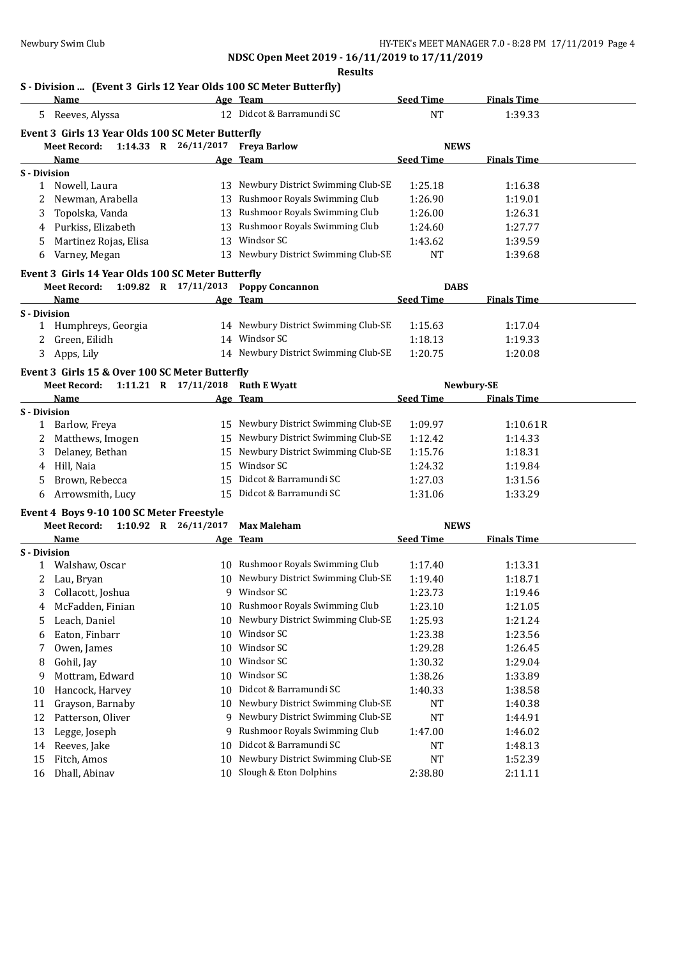## **Results**

## **S - Division ... (Event 3 Girls 12 Year Olds 100 SC Meter Butterfly)**

|              | Name                                                                     |                        | Age Team                             | <b>Seed Time</b> | <b>Finals Time</b> |  |
|--------------|--------------------------------------------------------------------------|------------------------|--------------------------------------|------------------|--------------------|--|
|              | 5 Reeves, Alyssa                                                         |                        | 12 Didcot & Barramundi SC            | <b>NT</b>        | 1:39.33            |  |
|              | Event 3 Girls 13 Year Olds 100 SC Meter Butterfly                        |                        |                                      |                  |                    |  |
|              | <b>Meet Record:</b>                                                      | 1:14.33 R $26/11/2017$ | <b>Freya Barlow</b>                  | <b>NEWS</b>      |                    |  |
|              | Name                                                                     |                        | Age Team                             | <b>Seed Time</b> | <b>Finals Time</b> |  |
| S - Division |                                                                          |                        |                                      |                  |                    |  |
| 1            | Nowell, Laura                                                            |                        | 13 Newbury District Swimming Club-SE | 1:25.18          | 1:16.38            |  |
|              | Newman, Arabella                                                         |                        | 13 Rushmoor Royals Swimming Club     | 1:26.90          | 1:19.01            |  |
| 3            | Topolska, Vanda                                                          |                        | 13 Rushmoor Royals Swimming Club     | 1:26.00          | 1:26.31            |  |
| 4            | Purkiss, Elizabeth                                                       |                        | 13 Rushmoor Royals Swimming Club     | 1:24.60          | 1:27.77            |  |
| 5            | Martinez Rojas, Elisa                                                    |                        | 13 Windsor SC                        | 1:43.62          | 1:39.59            |  |
| 6            | Varney, Megan                                                            |                        | 13 Newbury District Swimming Club-SE | <b>NT</b>        | 1:39.68            |  |
|              |                                                                          |                        |                                      |                  |                    |  |
|              | Event 3 Girls 14 Year Olds 100 SC Meter Butterfly<br><b>Meet Record:</b> |                        | 1:09.82 R 17/11/2013 Poppy Concannon | <b>DABS</b>      |                    |  |
|              | Name                                                                     |                        |                                      | <b>Seed Time</b> | <b>Finals Time</b> |  |
| S - Division |                                                                          |                        | Age Team                             |                  |                    |  |
|              | 1 Humphreys, Georgia                                                     |                        | 14 Newbury District Swimming Club-SE | 1:15.63          | 1:17.04            |  |
| 2            | Green, Eilidh                                                            |                        | 14 Windsor SC                        | 1:18.13          | 1:19.33            |  |
| 3            | Apps, Lily                                                               |                        | 14 Newbury District Swimming Club-SE | 1:20.75          | 1:20.08            |  |
|              |                                                                          |                        |                                      |                  |                    |  |
|              | Event 3 Girls 15 & Over 100 SC Meter Butterfly                           |                        |                                      |                  |                    |  |
|              | Meet Record:                                                             | 1:11.21 R $17/11/2018$ | <b>Ruth E Wyatt</b>                  |                  | Newbury-SE         |  |
|              | Name                                                                     |                        | Age Team                             | <b>Seed Time</b> | <b>Finals Time</b> |  |
| S - Division |                                                                          |                        | 15 Newbury District Swimming Club-SE |                  |                    |  |
|              | Barlow, Freya                                                            |                        | 15 Newbury District Swimming Club-SE | 1:09.97          | 1:10.61R           |  |
| 2            | Matthews, Imogen                                                         |                        | 15 Newbury District Swimming Club-SE | 1:12.42          | 1:14.33            |  |
| 3            | Delaney, Bethan                                                          |                        | Windsor SC                           | 1:15.76          | 1:18.31            |  |
| 4            | Hill, Naia                                                               | 15                     | Didcot & Barramundi SC               | 1:24.32          | 1:19.84            |  |
| 5            | Brown, Rebecca                                                           | 15                     |                                      | 1:27.03          | 1:31.56            |  |
| 6            | Arrowsmith, Lucy                                                         |                        | 15 Didcot & Barramundi SC            | 1:31.06          | 1:33.29            |  |
|              | Event 4 Boys 9-10 100 SC Meter Freestyle                                 |                        |                                      |                  |                    |  |
|              | 1:10.92 R $26/11/2017$<br><b>Meet Record:</b>                            |                        | <b>Max Maleham</b>                   | <b>NEWS</b>      |                    |  |
|              | Name                                                                     |                        | Age Team                             | <b>Seed Time</b> | <b>Finals Time</b> |  |
| S - Division |                                                                          |                        |                                      |                  |                    |  |
| 1            | Walshaw, Oscar                                                           |                        | 10 Rushmoor Royals Swimming Club     | 1:17.40          | 1:13.31            |  |
| 2            | Lau, Bryan                                                               |                        | 10 Newbury District Swimming Club-SE | 1:19.40          | 1:18.71            |  |
| 3            | Collacott, Joshua                                                        |                        | 9 Windsor SC                         | 1:23.73          | 1:19.46            |  |
|              | 4 McFadden, Finian                                                       |                        | 10 Rushmoor Royals Swimming Club     | 1:23.10          | 1:21.05            |  |
| 5            | Leach, Daniel                                                            |                        | 10 Newbury District Swimming Club-SE | 1:25.93          | 1:21.24            |  |
| 6            | Eaton, Finbarr                                                           |                        | 10 Windsor SC                        | 1:23.38          | 1:23.56            |  |
| 7            | Owen, James                                                              |                        | 10 Windsor SC                        | 1:29.28          | 1:26.45            |  |
| 8            | Gohil, Jay                                                               | 10                     | Windsor SC                           | 1:30.32          | 1:29.04            |  |
| 9            | Mottram, Edward                                                          | 10                     | Windsor SC                           | 1:38.26          | 1:33.89            |  |
| 10           | Hancock, Harvey                                                          | 10                     | Didcot & Barramundi SC               | 1:40.33          | 1:38.58            |  |
| 11           | Grayson, Barnaby                                                         | 10                     | Newbury District Swimming Club-SE    | NT               | 1:40.38            |  |
| 12           | Patterson, Oliver                                                        |                        | 9 Newbury District Swimming Club-SE  | <b>NT</b>        | 1:44.91            |  |
| 13           | Legge, Joseph                                                            | 9                      | Rushmoor Royals Swimming Club        | 1:47.00          | 1:46.02            |  |
| 14           | Reeves, Jake                                                             | 10                     | Didcot & Barramundi SC               | NT               | 1:48.13            |  |
| 15           | Fitch, Amos                                                              | 10                     | Newbury District Swimming Club-SE    | NT               | 1:52.39            |  |
| 16           | Dhall, Abinav                                                            |                        | 10 Slough & Eton Dolphins            | 2:38.80          | 2:11.11            |  |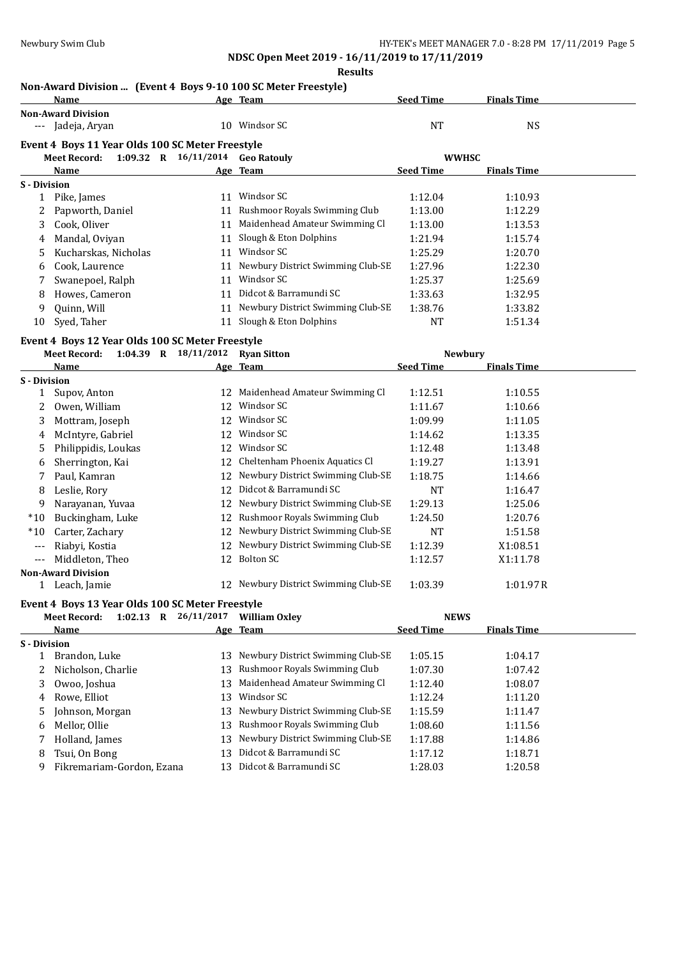### **Results**

## **Non-Award Division ... (Event 4 Boys 9-10 100 SC Meter Freestyle)**

|              | NON-AWAI'U DIVISION  [EVENT 4 BOYS 9-10 TOO SC METEL FIFESTYLE]<br><b>Name</b> |                                  | Age Team                             | <b>Seed Time</b> | <b>Finals Time</b> |  |
|--------------|--------------------------------------------------------------------------------|----------------------------------|--------------------------------------|------------------|--------------------|--|
|              | <b>Non-Award Division</b>                                                      |                                  |                                      |                  |                    |  |
|              | --- Jadeja, Aryan                                                              |                                  | 10 Windsor SC                        | <b>NT</b>        | <b>NS</b>          |  |
|              | Event 4 Boys 11 Year Olds 100 SC Meter Freestyle                               |                                  |                                      |                  |                    |  |
|              | <b>Meet Record:</b>                                                            | 1:09.32 R 16/11/2014 Geo Ratouly |                                      | <b>WWHSC</b>     |                    |  |
|              | Name                                                                           |                                  | Age Team                             | <b>Seed Time</b> | <b>Finals Time</b> |  |
| S - Division |                                                                                |                                  |                                      |                  |                    |  |
| 1            | Pike, James                                                                    |                                  | 11 Windsor SC                        | 1:12.04          | 1:10.93            |  |
| 2            | Papworth, Daniel                                                               |                                  | 11 Rushmoor Royals Swimming Club     | 1:13.00          | 1:12.29            |  |
| 3            | Cook, Oliver                                                                   |                                  | 11 Maidenhead Amateur Swimming Cl    | 1:13.00          | 1:13.53            |  |
| 4            | Mandal, Oviyan                                                                 |                                  | 11 Slough & Eton Dolphins            | 1:21.94          | 1:15.74            |  |
| 5            | Kucharskas, Nicholas                                                           |                                  | 11 Windsor SC                        | 1:25.29          | 1:20.70            |  |
| 6            | Cook, Laurence                                                                 |                                  | 11 Newbury District Swimming Club-SE | 1:27.96          | 1:22.30            |  |
| 7            | Swanepoel, Ralph                                                               | 11                               | Windsor SC                           | 1:25.37          | 1:25.69            |  |
| 8            | Howes, Cameron                                                                 |                                  | 11 Didcot & Barramundi SC            | 1:33.63          | 1:32.95            |  |
| 9            | Quinn, Will                                                                    |                                  | 11 Newbury District Swimming Club-SE | 1:38.76          | 1:33.82            |  |
| 10           | Syed, Taher                                                                    |                                  | 11 Slough & Eton Dolphins            | NT               | 1:51.34            |  |
|              | Event 4 Boys 12 Year Olds 100 SC Meter Freestyle                               |                                  |                                      |                  |                    |  |
|              | <b>Meet Record:</b>                                                            | 1:04.39 R 18/11/2012 Ryan Sitton |                                      |                  | Newbury            |  |
|              | Name                                                                           |                                  | Age Team                             | <b>Seed Time</b> | <b>Finals Time</b> |  |
| S - Division |                                                                                |                                  |                                      |                  |                    |  |
| $\mathbf{1}$ | Supov, Anton                                                                   |                                  | 12 Maidenhead Amateur Swimming Cl    | 1:12.51          | 1:10.55            |  |
| 2            | Owen, William                                                                  |                                  | 12 Windsor SC                        | 1:11.67          | 1:10.66            |  |
| 3            | Mottram, Joseph                                                                |                                  | 12 Windsor SC                        | 1:09.99          | 1:11.05            |  |
| 4            | McIntyre, Gabriel                                                              |                                  | 12 Windsor SC                        | 1:14.62          | 1:13.35            |  |
| 5            | Philippidis, Loukas                                                            |                                  | 12 Windsor SC                        | 1:12.48          | 1:13.48            |  |
| 6            | Sherrington, Kai                                                               |                                  | 12 Cheltenham Phoenix Aquatics Cl    | 1:19.27          | 1:13.91            |  |
| 7            | Paul, Kamran                                                                   | 12                               | Newbury District Swimming Club-SE    | 1:18.75          | 1:14.66            |  |
| 8            | Leslie, Rory                                                                   |                                  | 12 Didcot & Barramundi SC            | <b>NT</b>        | 1:16.47            |  |
| 9            | Narayanan, Yuvaa                                                               |                                  | 12 Newbury District Swimming Club-SE | 1:29.13          | 1:25.06            |  |
| $*10$        | Buckingham, Luke                                                               | 12                               | Rushmoor Royals Swimming Club        | 1:24.50          | 1:20.76            |  |
| $*10$        | Carter, Zachary                                                                | 12                               | Newbury District Swimming Club-SE    | NT               | 1:51.58            |  |
| $---$        | Riabyi, Kostia                                                                 | 12                               | Newbury District Swimming Club-SE    | 1:12.39          | X1:08.51           |  |
| $---$        | Middleton, Theo                                                                |                                  | 12 Bolton SC                         | 1:12.57          | X1:11.78           |  |
|              | <b>Non-Award Division</b>                                                      |                                  |                                      |                  |                    |  |
|              | 1 Leach, Jamie                                                                 |                                  | 12 Newbury District Swimming Club-SE | 1:03.39          | 1:01.97R           |  |
|              | Event 4 Boys 13 Year Olds 100 SC Meter Freestyle                               |                                  |                                      |                  |                    |  |
|              | <b>Meet Record:</b>                                                            | $1:02.13$ R $26/11/2017$         | <b>William Oxley</b>                 | <b>NEWS</b>      |                    |  |
|              | Name                                                                           |                                  | Age Team                             | <b>Seed Time</b> | <b>Finals Time</b> |  |
| S - Division |                                                                                |                                  |                                      |                  |                    |  |
| 1            | Brandon, Luke                                                                  |                                  | 13 Newbury District Swimming Club-SE | 1:05.15          | 1:04.17            |  |
| 2            | Nicholson, Charlie                                                             | 13                               | Rushmoor Royals Swimming Club        | 1:07.30          | 1:07.42            |  |
| 3            | Owoo, Joshua                                                                   | 13                               | Maidenhead Amateur Swimming Cl       | 1:12.40          | 1:08.07            |  |
| 4            | Rowe, Elliot                                                                   | 13                               | Windsor SC                           | 1:12.24          | 1:11.20            |  |
| 5            | Johnson, Morgan                                                                |                                  | 13 Newbury District Swimming Club-SE | 1:15.59          | 1:11.47            |  |
|              |                                                                                |                                  |                                      |                  |                    |  |

6 Mellor, Ollie 13 Rushmoor Royals Swimming Club 1:08.60 1:11.56 7 Holland, James 13 Newbury District Swimming Club-SE 1:17.88 1:14.86 8 Tsui, On Bong 13 Didcot & Barramundi SC 1:17.12 1:18.71 9 Fikremariam-Gordon, Ezana 13 Didcot & Barramundi SC 1:28.03 1:20.58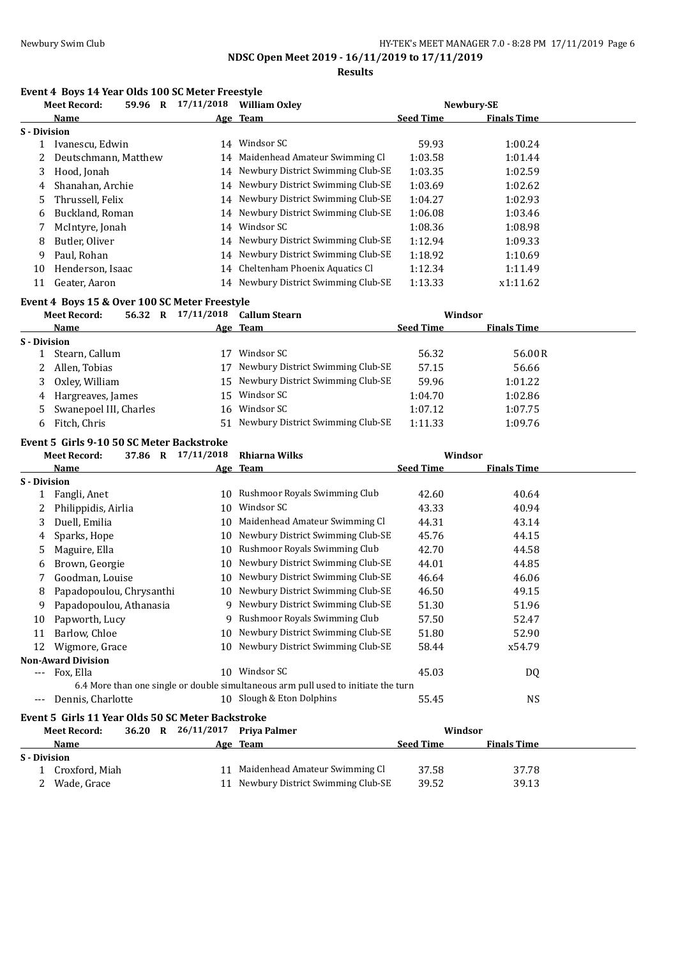**Results**

## **Event 4 Boys 14 Year Olds 100 SC Meter Freestyle**

|                     | <b>Meet Record:</b>  | 59.96 | R | 17/11/2018 | <b>William Oxley</b>                 |                  | Newbury-SE         |  |
|---------------------|----------------------|-------|---|------------|--------------------------------------|------------------|--------------------|--|
|                     | Name                 |       |   |            | Age Team                             | <b>Seed Time</b> | <b>Finals Time</b> |  |
| <b>S</b> - Division |                      |       |   |            |                                      |                  |                    |  |
|                     | Ivanescu, Edwin      |       |   | 14         | Windsor SC                           | 59.93            | 1:00.24            |  |
|                     | Deutschmann, Matthew |       |   | 14         | Maidenhead Amateur Swimming Cl       | 1:03.58          | 1:01.44            |  |
| 3                   | Hood, Jonah          |       |   | 14         | Newbury District Swimming Club-SE    | 1:03.35          | 1:02.59            |  |
| 4                   | Shanahan, Archie     |       |   |            | 14 Newbury District Swimming Club-SE | 1:03.69          | 1:02.62            |  |
| 5.                  | Thrussell, Felix     |       |   |            | 14 Newbury District Swimming Club-SE | 1:04.27          | 1:02.93            |  |
| 6                   | Buckland, Roman      |       |   | 14         | Newbury District Swimming Club-SE    | 1:06.08          | 1:03.46            |  |
|                     | McIntyre, Jonah      |       |   | 14         | Windsor SC                           | 1:08.36          | 1:08.98            |  |
| 8                   | Butler, Oliver       |       |   | 14         | Newbury District Swimming Club-SE    | 1:12.94          | 1:09.33            |  |
| 9                   | Paul. Rohan          |       |   | 14         | Newbury District Swimming Club-SE    | 1:18.92          | 1:10.69            |  |
| 10                  | Henderson, Isaac     |       |   | 14         | Cheltenham Phoenix Aquatics Cl       | 1:12.34          | 1:11.49            |  |
| 11                  | Geater, Aaron        |       |   | 14         | Newbury District Swimming Club-SE    | 1:13.33          | x1:11.62           |  |

### **Event 4 Boys 15 & Over 100 SC Meter Freestyle**

|              | <b>Meet Record:</b>    | 56.32 R | 17/11/2018 | <b>Callum Stearn</b>                 | Windsor          |                    |  |
|--------------|------------------------|---------|------------|--------------------------------------|------------------|--------------------|--|
|              | <b>Name</b>            |         |            | Age Team                             | <b>Seed Time</b> | <b>Finals Time</b> |  |
| S - Division |                        |         |            |                                      |                  |                    |  |
|              | Stearn, Callum         |         |            | Windsor SC                           | 56.32            | 56.00 R            |  |
|              | Allen, Tobias          |         |            | Newbury District Swimming Club-SE    | 57.15            | 56.66              |  |
|              | Oxley, William         |         |            | 15 Newbury District Swimming Club-SE | 59.96            | 1:01.22            |  |
| 4            | Hargreaves, James      |         |            | 15 Windsor SC                        | 1:04.70          | 1:02.86            |  |
| 5            | Swanepoel III, Charles |         |            | 16 Windsor SC                        | 1:07.12          | 1:07.75            |  |
| b.           | Fitch, Chris           |         | 51         | Newbury District Swimming Club-SE    | 1:11.33          | 1:09.76            |  |

## **Event 5 Girls 9-10 50 SC Meter Backstroke**

|                     | <b>Meet Record:</b><br>37.86 R                    | 17/11/2018      | Rhiarna Wilks                                                                      | Windsor          |                    |  |
|---------------------|---------------------------------------------------|-----------------|------------------------------------------------------------------------------------|------------------|--------------------|--|
|                     | Name                                              |                 | Age Team                                                                           | <b>Seed Time</b> | <b>Finals Time</b> |  |
| <b>S</b> - Division |                                                   |                 |                                                                                    |                  |                    |  |
|                     | Fangli, Anet                                      | 10              | Rushmoor Royals Swimming Club                                                      | 42.60            | 40.64              |  |
|                     | Philippidis, Airlia                               | 10              | Windsor SC                                                                         | 43.33            | 40.94              |  |
| 3                   | Duell, Emilia                                     | 10              | Maidenhead Amateur Swimming Cl                                                     | 44.31            | 43.14              |  |
| 4                   | Sparks, Hope                                      | 10              | Newbury District Swimming Club-SE                                                  | 45.76            | 44.15              |  |
| 5                   | Maguire, Ella                                     | 10              | Rushmoor Royals Swimming Club                                                      | 42.70            | 44.58              |  |
| 6                   | Brown, Georgie                                    | 10              | Newbury District Swimming Club-SE                                                  | 44.01            | 44.85              |  |
|                     | Goodman, Louise                                   | 10              | Newbury District Swimming Club-SE                                                  | 46.64            | 46.06              |  |
| 8                   | Papadopoulou, Chrysanthi                          | 10              | Newbury District Swimming Club-SE                                                  | 46.50            | 49.15              |  |
| 9                   | Papadopoulou, Athanasia                           | 9               | Newbury District Swimming Club-SE                                                  | 51.30            | 51.96              |  |
| 10                  | Papworth, Lucy                                    | 9               | Rushmoor Royals Swimming Club                                                      | 57.50            | 52.47              |  |
| 11                  | Barlow, Chloe                                     | 10              | Newbury District Swimming Club-SE                                                  | 51.80            | 52.90              |  |
| 12                  | Wigmore, Grace                                    | 10 <sup>1</sup> | Newbury District Swimming Club-SE                                                  | 58.44            | x54.79             |  |
|                     | <b>Non-Award Division</b>                         |                 |                                                                                    |                  |                    |  |
|                     | --- Fox, Ella                                     |                 | 10 Windsor SC                                                                      | 45.03            | DQ                 |  |
|                     |                                                   |                 | 6.4 More than one single or double simultaneous arm pull used to initiate the turn |                  |                    |  |
| $---$               | Dennis, Charlotte                                 |                 | 10 Slough & Eton Dolphins                                                          | 55.45            | <b>NS</b>          |  |
|                     | Event 5 Girls 11 Year Olds 50 SC Meter Backstroke |                 |                                                                                    |                  |                    |  |
|                     | <b>Meet Record:</b><br>36.20 R                    | 26/11/2017      | Priya Palmer                                                                       | Windsor          |                    |  |
|                     | Name                                              |                 | Age Team                                                                           | <b>Seed Time</b> | <b>Finals Time</b> |  |
| <b>S</b> - Division |                                                   |                 |                                                                                    |                  |                    |  |
|                     | Croxford, Miah                                    |                 | 11 Maidenhead Amateur Swimming Cl                                                  | 37.58            | 37.78              |  |

2 Wade, Grace 11 Newbury District Swimming Club-SE 39.52 39.13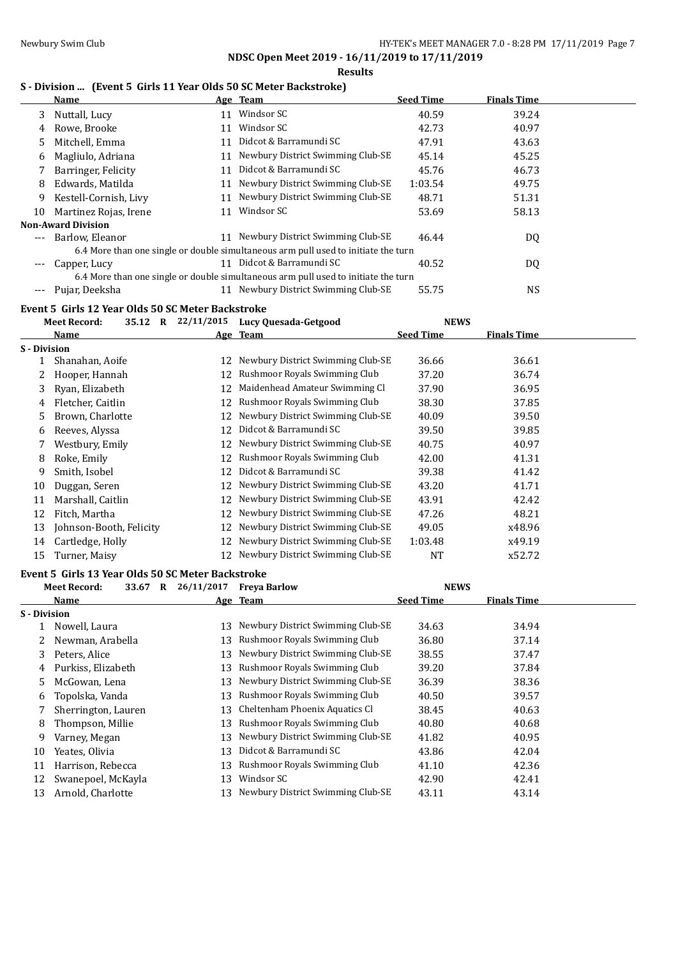### **Results**

## **S - Division ... (Event 5 Girls 11 Year Olds 50 SC Meter Backstroke)**

|              | <b>DIVISION </b> [EVERT 5 GHTS 11 Teat ORD 50 SC METER DACKSLIUNC]<br>Name |    | Age Team                                                                           | <b>Seed Time</b> | <b>Finals Time</b> |  |
|--------------|----------------------------------------------------------------------------|----|------------------------------------------------------------------------------------|------------------|--------------------|--|
| 3            | Nuttall, Lucy                                                              |    | 11 Windsor SC                                                                      | 40.59            | 39.24              |  |
| 4            | Rowe, Brooke                                                               |    | 11 Windsor SC                                                                      | 42.73            | 40.97              |  |
| 5            | Mitchell, Emma                                                             |    | 11 Didcot & Barramundi SC                                                          | 47.91            | 43.63              |  |
| 6            | Magliulo, Adriana                                                          |    | 11 Newbury District Swimming Club-SE                                               | 45.14            | 45.25              |  |
| 7            | Barringer, Felicity                                                        |    | 11 Didcot & Barramundi SC                                                          | 45.76            | 46.73              |  |
| 8            | Edwards, Matilda                                                           |    | 11 Newbury District Swimming Club-SE                                               | 1:03.54          | 49.75              |  |
| 9            | Kestell-Cornish, Livy                                                      |    | 11 Newbury District Swimming Club-SE                                               | 48.71            | 51.31              |  |
| 10           | Martinez Rojas, Irene                                                      |    | 11 Windsor SC                                                                      | 53.69            | 58.13              |  |
|              | <b>Non-Award Division</b>                                                  |    |                                                                                    |                  |                    |  |
| $---$        | Barlow, Eleanor                                                            |    | 11 Newbury District Swimming Club-SE                                               | 46.44            | DQ                 |  |
|              |                                                                            |    | 6.4 More than one single or double simultaneous arm pull used to initiate the turn |                  |                    |  |
|              | Capper, Lucy                                                               |    | 11 Didcot & Barramundi SC                                                          | 40.52            | DQ                 |  |
|              |                                                                            |    | 6.4 More than one single or double simultaneous arm pull used to initiate the turn |                  |                    |  |
|              | --- Pujar, Deeksha                                                         |    | 11 Newbury District Swimming Club-SE                                               | 55.75            | <b>NS</b>          |  |
|              | Event 5 Girls 12 Year Olds 50 SC Meter Backstroke                          |    |                                                                                    |                  |                    |  |
|              | <b>Meet Record:</b>                                                        |    | 35.12 R 22/11/2015 Lucy Quesada-Getgood                                            | <b>NEWS</b>      |                    |  |
|              | Name                                                                       |    | Age Team                                                                           | <b>Seed Time</b> | <b>Finals Time</b> |  |
| S - Division |                                                                            |    |                                                                                    |                  |                    |  |
| $\mathbf{1}$ | Shanahan, Aoife                                                            |    | 12 Newbury District Swimming Club-SE                                               | 36.66            | 36.61              |  |
| 2            | Hooper, Hannah                                                             |    | 12 Rushmoor Royals Swimming Club                                                   | 37.20            | 36.74              |  |
| 3            | Ryan, Elizabeth                                                            |    | 12 Maidenhead Amateur Swimming Cl                                                  | 37.90            | 36.95              |  |
| 4            | Fletcher, Caitlin                                                          |    | 12 Rushmoor Royals Swimming Club                                                   | 38.30            | 37.85              |  |
| 5            | Brown, Charlotte                                                           |    | 12 Newbury District Swimming Club-SE                                               | 40.09            | 39.50              |  |
| 6            | Reeves, Alyssa                                                             |    | 12 Didcot & Barramundi SC                                                          | 39.50            | 39.85              |  |
| 7            | Westbury, Emily                                                            |    | 12 Newbury District Swimming Club-SE                                               | 40.75            | 40.97              |  |
| 8            | Roke, Emily                                                                | 12 | Rushmoor Royals Swimming Club                                                      | 42.00            | 41.31              |  |
| 9            | Smith, Isobel                                                              | 12 | Didcot & Barramundi SC                                                             | 39.38            | 41.42              |  |
| 10           | Duggan, Seren                                                              |    | 12 Newbury District Swimming Club-SE                                               | 43.20            | 41.71              |  |
| 11           | Marshall, Caitlin                                                          | 12 | Newbury District Swimming Club-SE                                                  | 43.91            | 42.42              |  |
| 12           | Fitch, Martha                                                              | 12 | Newbury District Swimming Club-SE                                                  | 47.26            | 48.21              |  |
| 13           | Johnson-Booth, Felicity                                                    | 12 | Newbury District Swimming Club-SE                                                  | 49.05            | x48.96             |  |
| 14           | Cartledge, Holly                                                           | 12 | Newbury District Swimming Club-SE                                                  | 1:03.48          | x49.19             |  |
| 15           | Turner, Maisy                                                              |    | 12 Newbury District Swimming Club-SE                                               | NT               | x52.72             |  |
|              | Event 5 Girls 13 Year Olds 50 SC Meter Backstroke                          |    |                                                                                    |                  |                    |  |
|              | <b>Meet Record:</b>                                                        |    | 33.67 R 26/11/2017 Freya Barlow                                                    | <b>NEWS</b>      |                    |  |
|              | <b>Name</b>                                                                |    | Age Team                                                                           | <b>Seed Time</b> | <b>Finals Time</b> |  |
| S - Division |                                                                            |    |                                                                                    |                  |                    |  |
| 1            | Nowell, Laura                                                              |    | 13 Newbury District Swimming Club-SE                                               | 34.63            | 34.94              |  |
| 2            | Newman, Arabella                                                           | 13 | Rushmoor Royals Swimming Club                                                      | 36.80            | 37.14              |  |
| 3            | Peters, Alice                                                              | 13 | Newbury District Swimming Club-SE                                                  | 38.55            | 37.47              |  |
| 4            | Purkiss, Elizabeth                                                         | 13 | Rushmoor Royals Swimming Club                                                      | 39.20            | 37.84              |  |
| 5            | McGowan, Lena                                                              | 13 | Newbury District Swimming Club-SE                                                  | 36.39            | 38.36              |  |
| 6            | Topolska, Vanda                                                            | 13 | Rushmoor Royals Swimming Club                                                      | 40.50            | 39.57              |  |
| 7            | Sherrington, Lauren                                                        | 13 | Cheltenham Phoenix Aquatics Cl                                                     | 38.45            | 40.63              |  |
| 8            | Thompson, Millie                                                           | 13 | Rushmoor Royals Swimming Club                                                      | 40.80            | 40.68              |  |
| 9            | Varney, Megan                                                              | 13 | Newbury District Swimming Club-SE                                                  | 41.82            | 40.95              |  |
| 10           | Yeates, Olivia                                                             | 13 | Didcot & Barramundi SC                                                             | 43.86            | 42.04              |  |
| 11           | Harrison, Rebecca                                                          | 13 | Rushmoor Royals Swimming Club                                                      | 41.10            | 42.36              |  |
| 12           | Swanepoel, McKayla                                                         | 13 | Windsor SC                                                                         | 42.90            | 42.41              |  |
| 13           | Arnold, Charlotte                                                          | 13 | Newbury District Swimming Club-SE                                                  | 43.11            | 43.14              |  |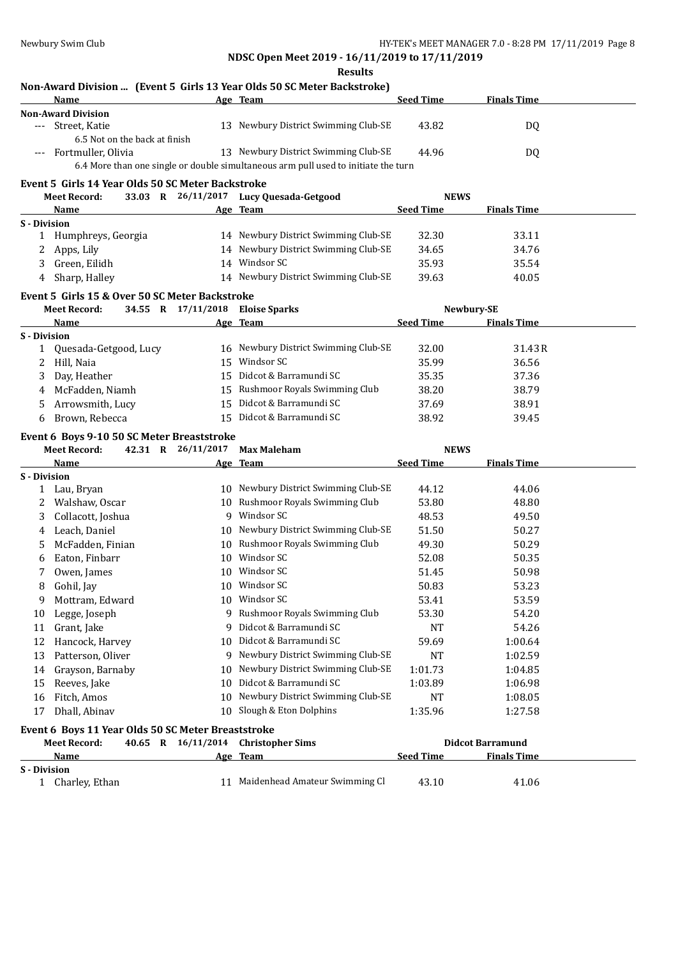**Results**

# **Non-Award Division ... (Event 5 Girls 13 Year Olds 50 SC Meter Backstroke)**

|                     | <b>Name</b>                                        |                                  | Age Team                                                                           | <b>Seed Time</b> | <b>Finals Time</b>      |  |
|---------------------|----------------------------------------------------|----------------------------------|------------------------------------------------------------------------------------|------------------|-------------------------|--|
|                     | <b>Non-Award Division</b>                          |                                  |                                                                                    |                  |                         |  |
| $---$               | Street, Katie<br>6.5 Not on the back at finish     |                                  | 13 Newbury District Swimming Club-SE                                               | 43.82            | DQ                      |  |
|                     | Fortmuller, Olivia                                 |                                  | 13 Newbury District Swimming Club-SE                                               | 44.96            | DQ                      |  |
|                     |                                                    |                                  | 6.4 More than one single or double simultaneous arm pull used to initiate the turn |                  |                         |  |
|                     | Event 5 Girls 14 Year Olds 50 SC Meter Backstroke  |                                  |                                                                                    |                  |                         |  |
|                     | <b>Meet Record:</b>                                |                                  | 33.03 R 26/11/2017 Lucy Quesada-Getgood                                            | <b>NEWS</b>      |                         |  |
|                     | Name                                               |                                  | Age Team                                                                           | <b>Seed Time</b> | <b>Finals Time</b>      |  |
| <b>S</b> - Division |                                                    |                                  |                                                                                    |                  |                         |  |
|                     | 1 Humphreys, Georgia                               |                                  | 14 Newbury District Swimming Club-SE                                               | 32.30            | 33.11                   |  |
| 2                   | Apps, Lily                                         |                                  | 14 Newbury District Swimming Club-SE                                               | 34.65            | 34.76                   |  |
| 3                   | Green, Eilidh                                      |                                  | 14 Windsor SC                                                                      | 35.93            | 35.54                   |  |
| 4                   | Sharp, Halley                                      |                                  | 14 Newbury District Swimming Club-SE                                               | 39.63            | 40.05                   |  |
|                     | Event 5 Girls 15 & Over 50 SC Meter Backstroke     |                                  |                                                                                    |                  |                         |  |
|                     | <b>Meet Record:</b>                                | 34.55 R 17/11/2018 Eloise Sparks |                                                                                    |                  | Newbury-SE              |  |
|                     | Name                                               |                                  | Age Team                                                                           | <b>Seed Time</b> | <b>Finals Time</b>      |  |
| <b>S</b> - Division |                                                    |                                  |                                                                                    |                  |                         |  |
| 1                   | Quesada-Getgood, Lucy                              |                                  | 16 Newbury District Swimming Club-SE                                               | 32.00            | 31.43R                  |  |
| 2                   | Hill, Naia                                         |                                  | 15 Windsor SC                                                                      | 35.99            | 36.56                   |  |
| 3                   | Day, Heather                                       |                                  | 15 Didcot & Barramundi SC                                                          | 35.35            | 37.36                   |  |
| 4                   | McFadden, Niamh                                    |                                  | 15 Rushmoor Royals Swimming Club                                                   | 38.20            | 38.79                   |  |
| 5                   | Arrowsmith, Lucy                                   |                                  | 15 Didcot & Barramundi SC                                                          | 37.69            | 38.91                   |  |
| 6                   | Brown, Rebecca                                     |                                  | 15 Didcot & Barramundi SC                                                          | 38.92            | 39.45                   |  |
|                     | Event 6 Boys 9-10 50 SC Meter Breaststroke         |                                  |                                                                                    |                  |                         |  |
|                     | <b>Meet Record:</b>                                | 42.31 R 26/11/2017               | <b>Max Maleham</b>                                                                 | <b>NEWS</b>      |                         |  |
|                     | Name                                               |                                  | Age Team                                                                           | <b>Seed Time</b> | <b>Finals Time</b>      |  |
| <b>S</b> - Division |                                                    |                                  |                                                                                    |                  |                         |  |
|                     | 1 Lau, Bryan                                       |                                  | 10 Newbury District Swimming Club-SE                                               | 44.12            | 44.06                   |  |
| 2                   | Walshaw, Oscar                                     |                                  | 10 Rushmoor Royals Swimming Club                                                   | 53.80            | 48.80                   |  |
| 3                   | Collacott, Joshua                                  |                                  | 9 Windsor SC                                                                       | 48.53            | 49.50                   |  |
| 4                   | Leach, Daniel                                      |                                  | 10 Newbury District Swimming Club-SE                                               | 51.50            | 50.27                   |  |
| 5                   | McFadden, Finian                                   |                                  | 10 Rushmoor Royals Swimming Club                                                   | 49.30            | 50.29                   |  |
| 6                   | Eaton, Finbarr                                     |                                  | 10 Windsor SC                                                                      | 52.08            | 50.35                   |  |
| 7                   | Owen, James                                        |                                  | 10 Windsor SC                                                                      | 51.45            | 50.98                   |  |
| 8                   | Gohil, Jay                                         |                                  | 10 Windsor SC                                                                      | 50.83            | 53.23                   |  |
| 9                   | Mottram, Edward                                    |                                  | 10 Windsor SC                                                                      | 53.41            | 53.59                   |  |
| 10                  | Legge, Joseph                                      |                                  | 9 Rushmoor Royals Swimming Club                                                    | 53.30            | 54.20                   |  |
| 11                  | Grant, Jake                                        |                                  | 9 Didcot & Barramundi SC                                                           | NT               | 54.26                   |  |
| 12                  | Hancock, Harvey                                    | 10                               | Didcot & Barramundi SC                                                             | 59.69            | 1:00.64                 |  |
| 13                  | Patterson, Oliver                                  |                                  | 9 Newbury District Swimming Club-SE                                                | NT               | 1:02.59                 |  |
| 14                  | Grayson, Barnaby                                   | 10                               | Newbury District Swimming Club-SE                                                  | 1:01.73          | 1:04.85                 |  |
| 15                  | Reeves, Jake                                       | 10                               | Didcot & Barramundi SC                                                             | 1:03.89          | 1:06.98                 |  |
| 16                  | Fitch, Amos                                        | 10                               | Newbury District Swimming Club-SE                                                  | NT               | 1:08.05                 |  |
| 17                  | Dhall, Abinav                                      | 10                               | Slough & Eton Dolphins                                                             | 1:35.96          | 1:27.58                 |  |
|                     | Event 6 Boys 11 Year Olds 50 SC Meter Breaststroke |                                  |                                                                                    |                  |                         |  |
|                     | <b>Meet Record:</b>                                | 40.65 R 16/11/2014               | <b>Christopher Sims</b>                                                            |                  | <b>Didcot Barramund</b> |  |
|                     | Name                                               |                                  | Age Team                                                                           | <b>Seed Time</b> | <b>Finals Time</b>      |  |
|                     |                                                    |                                  |                                                                                    |                  |                         |  |
| <b>S</b> - Division |                                                    |                                  |                                                                                    |                  |                         |  |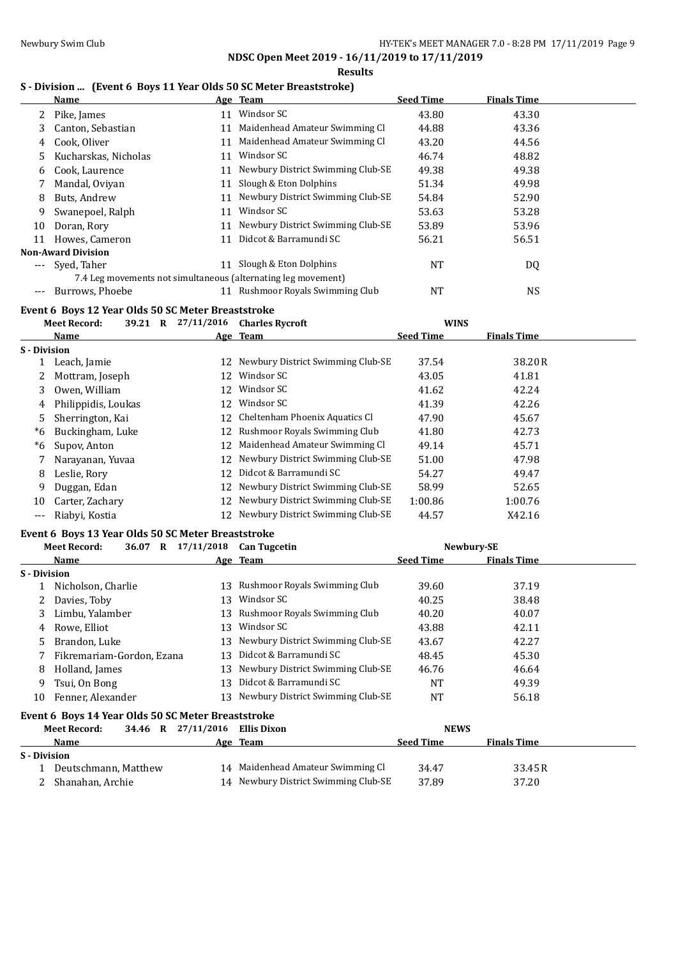**Results**

## **S - Division ... (Event 6 Boys 11 Year Olds 50 SC Meter Breaststroke)**

|                     | Name                                                          |    | Age Team                             | <b>Seed Time</b> | <b>Finals Time</b> |  |
|---------------------|---------------------------------------------------------------|----|--------------------------------------|------------------|--------------------|--|
|                     | Pike, James                                                   | 11 | Windsor SC                           | 43.80            | 43.30              |  |
| 3                   | Canton, Sebastian                                             | 11 | Maidenhead Amateur Swimming Cl       | 44.88            | 43.36              |  |
| 4                   | Cook, Oliver                                                  | 11 | Maidenhead Amateur Swimming Cl       | 43.20            | 44.56              |  |
| 5.                  | Kucharskas, Nicholas                                          | 11 | Windsor SC                           | 46.74            | 48.82              |  |
| 6                   | Cook, Laurence                                                | 11 | Newbury District Swimming Club-SE    | 49.38            | 49.38              |  |
|                     | Mandal, Oviyan                                                | 11 | Slough & Eton Dolphins               | 51.34            | 49.98              |  |
| 8                   | Buts, Andrew                                                  | 11 | Newbury District Swimming Club-SE    | 54.84            | 52.90              |  |
| 9                   | Swanepoel, Ralph                                              | 11 | Windsor SC                           | 53.63            | 53.28              |  |
| 10                  | Doran, Rory                                                   | 11 | Newbury District Swimming Club-SE    | 53.89            | 53.96              |  |
| 11                  | Howes, Cameron                                                | 11 | Didcot & Barramundi SC               | 56.21            | 56.51              |  |
|                     | <b>Non-Award Division</b>                                     |    |                                      |                  |                    |  |
|                     | Syed, Taher                                                   | 11 | Slough & Eton Dolphins               | <b>NT</b>        | DQ                 |  |
|                     | 7.4 Leg movements not simultaneous (alternating leg movement) |    |                                      |                  |                    |  |
| ---                 | Burrows, Phoebe                                               |    | 11 Rushmoor Royals Swimming Club     | <b>NT</b>        | <b>NS</b>          |  |
|                     | Event 6 Boys 12 Year Olds 50 SC Meter Breaststroke            |    |                                      |                  |                    |  |
|                     | <b>Meet Record:</b><br>39.21 R 27/11/2016                     |    | <b>Charles Rycroft</b>               | <b>WINS</b>      |                    |  |
|                     | Name                                                          |    | Age Team                             | <b>Seed Time</b> | <b>Finals Time</b> |  |
| <b>S</b> - Division |                                                               |    |                                      |                  |                    |  |
|                     | 1 Leach, Jamie                                                |    | 12 Newbury District Swimming Club-SE | 37.54            | 38.20 R            |  |

|       | Leach, jamie        |    | $12$ Newputy District Swimming Glub-SE | 37.54   | 38.ZU K |
|-------|---------------------|----|----------------------------------------|---------|---------|
| 2     | Mottram, Joseph     | 12 | Windsor SC                             | 43.05   | 41.81   |
| 3     | Owen, William       |    | 12 Windsor SC                          | 41.62   | 42.24   |
| 4     | Philippidis, Loukas | 12 | Windsor SC                             | 41.39   | 42.26   |
| 5     | Sherrington, Kai    |    | 12 Cheltenham Phoenix Aquatics Cl      | 47.90   | 45.67   |
| *6    | Buckingham, Luke    |    | 12 Rushmoor Royals Swimming Club       | 41.80   | 42.73   |
| *6    | Supov, Anton        | 12 | Maidenhead Amateur Swimming Cl         | 49.14   | 45.71   |
|       | Narayanan, Yuvaa    |    | 12 Newbury District Swimming Club-SE   | 51.00   | 47.98   |
| 8     | Leslie, Rory        | 12 | Didcot & Barramundi SC                 | 54.27   | 49.47   |
| 9     | Duggan, Edan        |    | 12 Newbury District Swimming Club-SE   | 58.99   | 52.65   |
| 10    | Carter, Zachary     |    | 12 Newbury District Swimming Club-SE   | 1:00.86 | 1:00.76 |
| $---$ | Riabyi, Kostia      | 12 | Newbury District Swimming Club-SE      | 44.57   | X42.16  |
|       |                     |    |                                        |         |         |

## **Event 6 Boys 13 Year Olds 50 SC Meter Breaststroke**

|                     | <b>Meet Record:</b>                                | 36.07 | $\bf{R}$ | 17/11/2018         | <b>Can Tugcetin</b>                  |                  | Newbury-SE         |  |
|---------------------|----------------------------------------------------|-------|----------|--------------------|--------------------------------------|------------------|--------------------|--|
|                     | Name                                               |       |          |                    | Age Team                             | <b>Seed Time</b> | <b>Finals Time</b> |  |
| <b>S</b> - Division |                                                    |       |          |                    |                                      |                  |                    |  |
|                     | Nicholson, Charlie                                 |       |          |                    | 13 Rushmoor Royals Swimming Club     | 39.60            | 37.19              |  |
|                     | Davies, Toby                                       |       |          | 13                 | Windsor SC                           | 40.25            | 38.48              |  |
| 3                   | Limbu, Yalamber                                    |       |          |                    | 13 Rushmoor Royals Swimming Club     | 40.20            | 40.07              |  |
| 4                   | Rowe. Elliot                                       |       |          | 13                 | Windsor SC                           | 43.88            | 42.11              |  |
| 5.                  | Brandon, Luke                                      |       |          |                    | 13 Newbury District Swimming Club-SE | 43.67            | 42.27              |  |
|                     | Fikremariam-Gordon, Ezana                          |       |          | 13                 | Didcot & Barramundi SC               | 48.45            | 45.30              |  |
| 8                   | Holland, James                                     |       |          |                    | 13 Newbury District Swimming Club-SE | 46.76            | 46.64              |  |
| 9                   | Tsui, On Bong                                      |       |          |                    | 13 Didcot & Barramundi SC            | NT               | 49.39              |  |
| 10                  | Fenner, Alexander                                  |       |          |                    | 13 Newbury District Swimming Club-SE | NT               | 56.18              |  |
|                     | Event 6 Boys 14 Year Olds 50 SC Meter Breaststroke |       |          |                    |                                      |                  |                    |  |
|                     | <b>Meet Record:</b>                                |       |          | 34.46 R 27/11/2016 | Ellis Dixon                          | <b>NEWS</b>      |                    |  |
|                     | Name                                               |       |          |                    | Age Team                             | <b>Seed Time</b> | <b>Finals Time</b> |  |
| S - Division        |                                                    |       |          |                    |                                      |                  |                    |  |

| 8 - DIVISION |                        |                                      |       |         |
|--------------|------------------------|--------------------------------------|-------|---------|
|              | 1 Deutschmann. Matthew | 14 Maidenhead Amateur Swimming Cl    | 34.47 | 33.45 R |
|              | 2 Shanahan. Archie     | 14 Newbury District Swimming Club-SE | 37.89 | 37.20   |
|              |                        |                                      |       |         |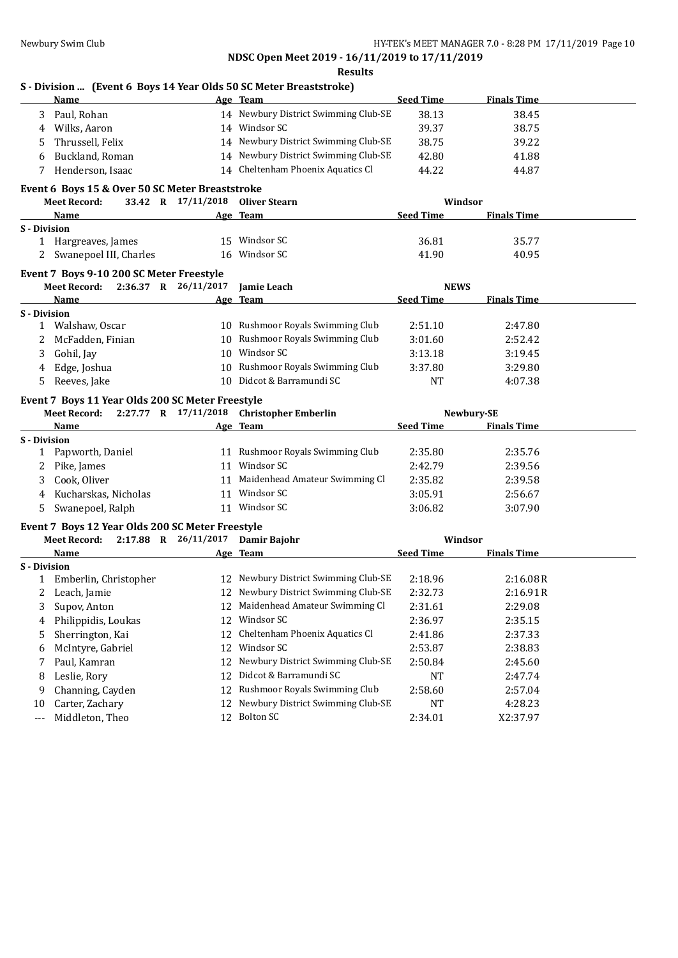|                     | Name                                             |                                  | Age Team                                  | <b>Seed Time</b> | <b>Finals Time</b> |  |
|---------------------|--------------------------------------------------|----------------------------------|-------------------------------------------|------------------|--------------------|--|
| 3                   | Paul, Rohan                                      |                                  | 14 Newbury District Swimming Club-SE      | 38.13            | 38.45              |  |
| 4                   | Wilks, Aaron                                     |                                  | 14 Windsor SC                             | 39.37            | 38.75              |  |
| 5                   | Thrussell, Felix                                 |                                  | 14 Newbury District Swimming Club-SE      | 38.75            | 39.22              |  |
| 6                   | Buckland, Roman                                  |                                  | 14 Newbury District Swimming Club-SE      | 42.80            | 41.88              |  |
| 7                   | Henderson, Isaac                                 |                                  | 14 Cheltenham Phoenix Aquatics Cl         | 44.22            | 44.87              |  |
|                     | Event 6 Boys 15 & Over 50 SC Meter Breaststroke  |                                  |                                           |                  |                    |  |
|                     | <b>Meet Record:</b>                              | 33.42 R 17/11/2018 Oliver Stearn |                                           | Windsor          |                    |  |
|                     | Name                                             |                                  | Age Team                                  | <b>Seed Time</b> | <b>Finals Time</b> |  |
| <b>S</b> - Division |                                                  |                                  |                                           |                  |                    |  |
|                     | 1 Hargreaves, James                              |                                  | 15 Windsor SC                             | 36.81            | 35.77              |  |
|                     | 2 Swanepoel III, Charles                         |                                  | 16 Windsor SC                             | 41.90            | 40.95              |  |
|                     | Event 7 Boys 9-10 200 SC Meter Freestyle         |                                  |                                           |                  |                    |  |
|                     | Meet Record: 2:36.37 R 26/11/2017                |                                  | Jamie Leach                               | <b>NEWS</b>      |                    |  |
|                     | Name                                             |                                  | Age Team                                  | <b>Seed Time</b> | <b>Finals Time</b> |  |
| S - Division        |                                                  |                                  |                                           |                  |                    |  |
|                     | 1 Walshaw, Oscar                                 |                                  | 10 Rushmoor Royals Swimming Club          | 2:51.10          | 2:47.80            |  |
| 2                   | McFadden, Finian                                 |                                  | 10 Rushmoor Royals Swimming Club          | 3:01.60          | 2:52.42            |  |
| 3                   | Gohil, Jay                                       |                                  | 10 Windsor SC                             | 3:13.18          | 3:19.45            |  |
| 4                   | Edge, Joshua                                     |                                  | 10 Rushmoor Royals Swimming Club          | 3:37.80          | 3:29.80            |  |
|                     | Reeves, Jake                                     |                                  | 10 Didcot & Barramundi SC                 | <b>NT</b>        | 4:07.38            |  |
| 5                   |                                                  |                                  |                                           |                  |                    |  |
|                     | Event 7 Boys 11 Year Olds 200 SC Meter Freestyle |                                  |                                           |                  |                    |  |
|                     | <b>Meet Record:</b>                              |                                  | 2:27.77 R 17/11/2018 Christopher Emberlin |                  | Newbury-SE         |  |
|                     | Name                                             |                                  | Age Team                                  | <b>Seed Time</b> | <b>Finals Time</b> |  |
|                     |                                                  |                                  |                                           |                  |                    |  |
|                     | Papworth, Daniel                                 |                                  | 11 Rushmoor Royals Swimming Club          | 2:35.80          | 2:35.76            |  |
| 2                   | Pike, James                                      |                                  | 11 Windsor SC                             | 2:42.79          | 2:39.56            |  |
| 3                   | Cook, Oliver                                     |                                  | 11 Maidenhead Amateur Swimming Cl         | 2:35.82          | 2:39.58            |  |
| S - Division<br>4   | Kucharskas, Nicholas                             |                                  | 11 Windsor SC                             | 3:05.91          | 2:56.67            |  |
| 5                   | Swanepoel, Ralph                                 |                                  | 11 Windsor SC                             | 3:06.82          | 3:07.90            |  |
|                     | Event 7 Boys 12 Year Olds 200 SC Meter Freestyle |                                  |                                           |                  |                    |  |
|                     | Meet Record: 2:17.88 R 26/11/2017 Damir Bajohr   |                                  |                                           | Windsor          |                    |  |
|                     | Name                                             |                                  | Age Team                                  | <b>Seed Time</b> | <b>Finals Time</b> |  |
|                     |                                                  |                                  |                                           |                  |                    |  |
|                     | 1 Emberlin, Christopher                          |                                  | 12 Newbury District Swimming Club-SE      | 2:18.96          | 2:16.08R           |  |
|                     | 2 Leach, Jamie                                   |                                  | 12 Newbury District Swimming Club-SE      | 2:32.73          | 2:16.91R           |  |
| 3                   | Supov, Anton                                     |                                  | 12 Maidenhead Amateur Swimming Cl         | 2:31.61          | 2:29.08            |  |
| 4                   | Philippidis, Loukas                              |                                  | 12 Windsor SC                             | 2:36.97          | 2:35.15            |  |
| 5                   | Sherrington, Kai                                 | 12                               | Cheltenham Phoenix Aquatics Cl            | 2:41.86          | 2:37.33            |  |
| 6                   | McIntyre, Gabriel                                | 12                               | Windsor SC                                | 2:53.87          | 2:38.83            |  |
| 7                   | Paul, Kamran                                     | 12                               | Newbury District Swimming Club-SE         | 2:50.84          | 2:45.60            |  |
| 8                   | Leslie, Rory                                     | 12                               | Didcot & Barramundi SC                    | NT               | 2:47.74            |  |
| S - Division<br>9   | Channing, Cayden                                 | 12                               | Rushmoor Royals Swimming Club             | 2:58.60          | 2:57.04            |  |
| 10                  | Carter, Zachary                                  | 12                               | Newbury District Swimming Club-SE         | NT               | 4:28.23            |  |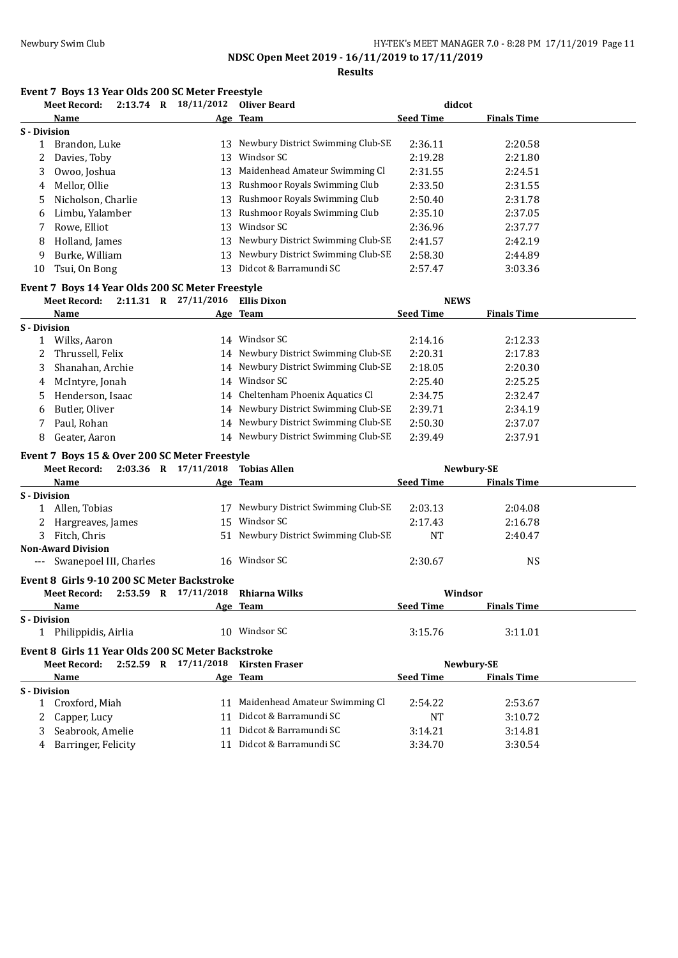**Results**

# **Event 7 Boys 13 Year Olds 200 SC Meter Freestyle**<br>Meet Becord: 2:13.74 B 18/11/2012 Oliver

|                     | $2:13.74$ R<br>Meet Record: | 18/11/2012 | Oliver Beard                      | didcot           |                    |
|---------------------|-----------------------------|------------|-----------------------------------|------------------|--------------------|
|                     | Name                        |            | Age Team                          | <b>Seed Time</b> | <b>Finals Time</b> |
| <b>S</b> - Division |                             |            |                                   |                  |                    |
|                     | Brandon, Luke               | 13         | Newbury District Swimming Club-SE | 2:36.11          | 2:20.58            |
| 2                   | Davies, Toby                | 13         | Windsor SC                        | 2:19.28          | 2:21.80            |
| 3                   | Owoo, Joshua                | 13         | Maidenhead Amateur Swimming Cl    | 2:31.55          | 2:24.51            |
|                     | 4 Mellor, Ollie             | 13         | Rushmoor Royals Swimming Club     | 2:33.50          | 2:31.55            |
| 5.                  | Nicholson, Charlie          | 13         | Rushmoor Royals Swimming Club     | 2:50.40          | 2:31.78            |
| 6.                  | Limbu, Yalamber             | 13         | Rushmoor Royals Swimming Club     | 2:35.10          | 2:37.05            |
|                     | Rowe, Elliot                | 13         | Windsor SC                        | 2:36.96          | 2:37.77            |
| 8                   | Holland, James              | 13         | Newbury District Swimming Club-SE | 2:41.57          | 2:42.19            |
| 9                   | Burke, William              | 13         | Newbury District Swimming Club-SE | 2:58.30          | 2:44.89            |
| 10                  | Tsui, On Bong               | 13         | Didcot & Barramundi SC            | 2:57.47          | 3:03.36            |

### **Event 7 Boys 14 Year Olds 200 SC Meter Freestyle**

|              | <b>Meet Record:</b> | 2:11.31 | R | 27/11/2016 | <b>Ellis Dixon</b>                   | <b>NEWS</b>      |                    |  |
|--------------|---------------------|---------|---|------------|--------------------------------------|------------------|--------------------|--|
|              | Name                |         |   |            | Age Team                             | <b>Seed Time</b> | <b>Finals Time</b> |  |
| S - Division |                     |         |   |            |                                      |                  |                    |  |
|              | Wilks, Aaron        |         |   | 14         | Windsor SC                           | 2:14.16          | 2:12.33            |  |
| 2            | Thrussell, Felix    |         |   |            | 14 Newbury District Swimming Club-SE | 2:20.31          | 2:17.83            |  |
|              | Shanahan, Archie    |         |   |            | 14 Newbury District Swimming Club-SE | 2:18.05          | 2:20.30            |  |
|              | 4 McIntyre, Jonah   |         |   | 14         | Windsor SC                           | 2:25.40          | 2:25.25            |  |
|              | Henderson, Isaac    |         |   |            | 14 Cheltenham Phoenix Aquatics Cl    | 2:34.75          | 2:32.47            |  |
| 6            | Butler, Oliver      |         |   |            | 14 Newbury District Swimming Club-SE | 2:39.71          | 2:34.19            |  |
|              | Paul, Rohan         |         |   |            | 14 Newbury District Swimming Club-SE | 2:50.30          | 2:37.07            |  |
| 8            | Geater, Aaron       |         |   |            | 14 Newbury District Swimming Club-SE | 2:39.49          | 2:37.91            |  |

### **Event 7 Boys 15 & Over 200 SC Meter Freestyle**

| $2:03.36$ R $17/11/2018$ Tobias Allen<br>Meet Record: |    |                                      |                  | Newbury-SE         |  |
|-------------------------------------------------------|----|--------------------------------------|------------------|--------------------|--|
| Name                                                  |    | Age Team                             | <b>Seed Time</b> | <b>Finals Time</b> |  |
| <b>S</b> - Division                                   |    |                                      |                  |                    |  |
| 1 Allen, Tobias                                       |    | 17 Newbury District Swimming Club-SE | 2:03.13          | 2:04.08            |  |
| Hargreaves, James<br>2                                | 15 | Windsor SC                           | 2:17.43          | 2:16.78            |  |
| Fitch, Chris<br>3                                     |    | 51 Newbury District Swimming Club-SE | <b>NT</b>        | 2:40.47            |  |
| <b>Non-Award Division</b>                             |    |                                      |                  |                    |  |
| --- Swanepoel III, Charles                            | 16 | Windsor SC                           | 2:30.67          | <b>NS</b>          |  |
| Event 8 Girls 9-10 200 SC Meter Backstroke            |    |                                      |                  |                    |  |
| 2:53.59 R 17/11/2018<br>Meet Record:                  |    | Rhiarna Wilks                        | Windsor          |                    |  |
| Name                                                  |    | Age Team                             | <b>Seed Time</b> | <b>Finals Time</b> |  |
| <b>S</b> - Division                                   |    |                                      |                  |                    |  |
| 1 Philippidis, Airlia                                 |    | 10 Windsor SC                        | 3:15.76          | 3:11.01            |  |
| Event 8 Girls 11 Year Olds 200 SC Meter Backstroke    |    |                                      |                  |                    |  |
| Meet Record: $2:52.59$ R $17/11/2018$ Kirsten Fraser  |    |                                      |                  | Newbury-SE         |  |
| Name                                                  |    | Age Team                             | <b>Seed Time</b> | <b>Finals Time</b> |  |
| <b>S</b> - Division                                   |    |                                      |                  |                    |  |
| 1 Croxford, Miah                                      |    | 11 Maidenhead Amateur Swimming Cl    | 2:54.22          | 2:53.67            |  |
| Capper, Lucy                                          |    | 11 Didcot & Barramundi SC            | <b>NT</b>        | 3:10.72            |  |

3 Seabrook, Amelie 11 Didcot & Barramundi SC 3:14.21 3:14.81 4 Barringer, Felicity 11 Didcot & Barramundi SC 3:34.70 3:30.54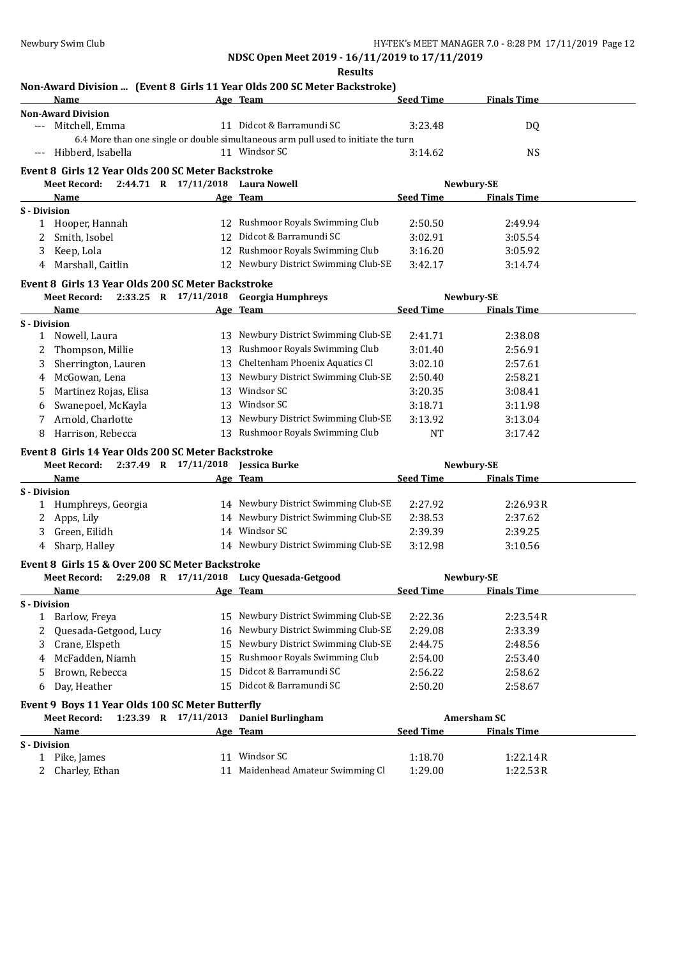|                                                        |    | Non-Award Division  (Event 8 Girls 11 Year Olds 200 SC Meter Backstroke)                            |                  |                    |
|--------------------------------------------------------|----|-----------------------------------------------------------------------------------------------------|------------------|--------------------|
| Name                                                   |    | Age Team                                                                                            | <b>Seed Time</b> | <b>Finals Time</b> |
| <b>Non-Award Division</b>                              |    | 11 Didcot & Barramundi SC                                                                           |                  |                    |
| Mitchell, Emma<br>$---$                                |    |                                                                                                     | 3:23.48          | DQ                 |
|                                                        |    | 6.4 More than one single or double simultaneous arm pull used to initiate the turn<br>11 Windsor SC |                  |                    |
| Hibberd, Isabella<br>$---$                             |    |                                                                                                     | 3:14.62          | <b>NS</b>          |
| Event 8 Girls 12 Year Olds 200 SC Meter Backstroke     |    |                                                                                                     |                  |                    |
| Meet Record: 2:44.71 R 17/11/2018 Laura Nowell         |    |                                                                                                     |                  | Newbury-SE         |
| Name                                                   |    | Age Team                                                                                            | Seed Time        | <b>Finals Time</b> |
| S - Division                                           |    |                                                                                                     |                  |                    |
| 1 Hooper, Hannah                                       |    | 12 Rushmoor Royals Swimming Club                                                                    | 2:50.50          | 2:49.94            |
| Smith, Isobel<br>2                                     |    | 12 Didcot & Barramundi SC                                                                           | 3:02.91          | 3:05.54            |
| Keep, Lola<br>3                                        |    | 12 Rushmoor Royals Swimming Club                                                                    | 3:16.20          | 3:05.92            |
| Marshall, Caitlin<br>4                                 |    | 12 Newbury District Swimming Club-SE                                                                | 3:42.17          | 3:14.74            |
| Event 8 Girls 13 Year Olds 200 SC Meter Backstroke     |    |                                                                                                     |                  |                    |
| Meet Record:                                           |    | 2:33.25 R 17/11/2018 Georgia Humphreys                                                              |                  | Newbury-SE         |
| Name                                                   |    | Age Team                                                                                            | <b>Seed Time</b> | <b>Finals Time</b> |
| S - Division                                           |    |                                                                                                     |                  |                    |
| 1 Nowell, Laura                                        |    | 13 Newbury District Swimming Club-SE                                                                | 2:41.71          | 2:38.08            |
| Thompson, Millie<br>2                                  |    | 13 Rushmoor Royals Swimming Club                                                                    | 3:01.40          | 2:56.91            |
| Sherrington, Lauren<br>3                               |    | 13 Cheltenham Phoenix Aquatics Cl                                                                   | 3:02.10          | 2:57.61            |
| McGowan, Lena<br>4                                     |    | 13 Newbury District Swimming Club-SE                                                                | 2:50.40          | 2:58.21            |
| Martinez Rojas, Elisa<br>5.                            |    | 13 Windsor SC                                                                                       | 3:20.35          | 3:08.41            |
| Swanepoel, McKayla<br>6                                |    | 13 Windsor SC                                                                                       | 3:18.71          | 3:11.98            |
| Arnold, Charlotte<br>7                                 |    | 13 Newbury District Swimming Club-SE                                                                | 3:13.92          | 3:13.04            |
| Harrison, Rebecca<br>8                                 | 13 | Rushmoor Royals Swimming Club                                                                       | <b>NT</b>        | 3:17.42            |
|                                                        |    |                                                                                                     |                  |                    |
| Event 8 Girls 14 Year Olds 200 SC Meter Backstroke     |    |                                                                                                     |                  |                    |
| Meet Record: 2:37.49 R 17/11/2018 Jessica Burke        |    |                                                                                                     |                  | Newbury-SE         |
| Name                                                   |    | Age Team                                                                                            | <b>Seed Time</b> | <b>Finals Time</b> |
| <b>S</b> - Division                                    |    | 14 Newbury District Swimming Club-SE                                                                | 2:27.92          | 2:26.93R           |
| Humphreys, Georgia<br>1                                |    | 14 Newbury District Swimming Club-SE                                                                | 2:38.53          | 2:37.62            |
| 2 Apps, Lily                                           |    | 14 Windsor SC                                                                                       |                  |                    |
| Green, Eilidh<br>3                                     |    |                                                                                                     | 2:39.39          | 2:39.25            |
| Sharp, Halley<br>4                                     |    | 14 Newbury District Swimming Club-SE                                                                | 3:12.98          | 3:10.56            |
| Event 8 Girls 15 & Over 200 SC Meter Backstroke        |    |                                                                                                     |                  |                    |
| Meet Record: 2:29.08 R 17/11/2018 Lucy Quesada-Getgood |    |                                                                                                     |                  | Newbury-SE         |
| <u>Name</u>                                            |    | <u> Age Team</u>                                                                                    | <u>Seed Time</u> | <u>Finals Time</u> |
| <b>S</b> - Division                                    |    |                                                                                                     |                  |                    |
| Barlow, Freya<br>1                                     |    | 15 Newbury District Swimming Club-SE                                                                | 2:22.36          | 2:23.54R           |
| Quesada-Getgood, Lucy<br>2                             | 16 | Newbury District Swimming Club-SE                                                                   | 2:29.08          | 2:33.39            |
| Crane, Elspeth<br>3                                    | 15 | Newbury District Swimming Club-SE                                                                   | 2:44.75          | 2:48.56            |
| McFadden, Niamh<br>4                                   | 15 | Rushmoor Royals Swimming Club                                                                       | 2:54.00          | 2:53.40            |
| Brown, Rebecca<br>5                                    | 15 | Didcot & Barramundi SC                                                                              | 2:56.22          | 2:58.62            |
| Day, Heather<br>6                                      | 15 | Didcot & Barramundi SC                                                                              | 2:50.20          | 2:58.67            |
| Event 9 Boys 11 Year Olds 100 SC Meter Butterfly       |    |                                                                                                     |                  |                    |
| <b>Meet Record:</b>                                    |    | 1:23.39 R 17/11/2013 Daniel Burlingham                                                              |                  | <b>Amersham SC</b> |
| <b>Name</b>                                            |    | Age Team                                                                                            | <b>Seed Time</b> | <b>Finals Time</b> |
| S - Division                                           |    |                                                                                                     |                  |                    |
| Pike, James<br>$\mathbf{1}$                            |    | 11 Windsor SC                                                                                       | 1:18.70          | 1:22.14R           |
| Charley, Ethan<br>2                                    | 11 | Maidenhead Amateur Swimming Cl                                                                      | 1:29.00          | 1:22.53R           |
|                                                        |    |                                                                                                     |                  |                    |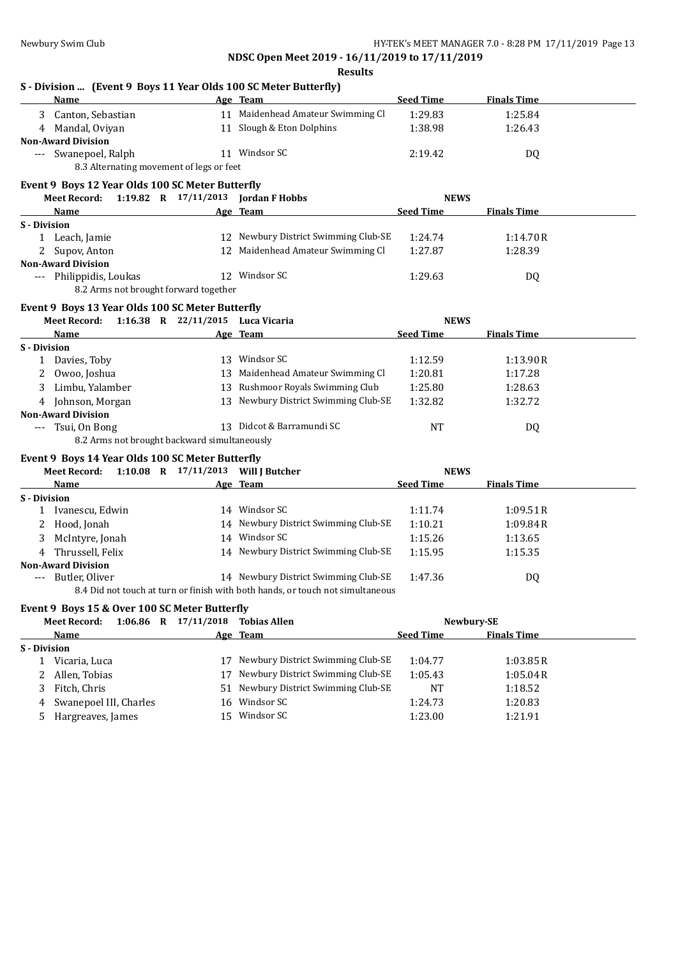| Name                                                                                                                                                                                                                    |                      | Age Team                                                                       | <b>Seed Time</b>   | <b>Finals Time</b> |
|-------------------------------------------------------------------------------------------------------------------------------------------------------------------------------------------------------------------------|----------------------|--------------------------------------------------------------------------------|--------------------|--------------------|
| 3 Canton, Sebastian                                                                                                                                                                                                     |                      | 11 Maidenhead Amateur Swimming Cl                                              | 1:29.83            | 1:25.84            |
| 4 Mandal, Oviyan                                                                                                                                                                                                        |                      | 11 Slough & Eton Dolphins                                                      | 1:38.98            | 1:26.43            |
| <b>Non-Award Division</b>                                                                                                                                                                                               |                      |                                                                                |                    |                    |
| --- Swanepoel, Ralph                                                                                                                                                                                                    |                      | 11 Windsor SC                                                                  | 2:19.42            | DQ                 |
| 8.3 Alternating movement of legs or feet                                                                                                                                                                                |                      |                                                                                |                    |                    |
| Event 9 Boys 12 Year Olds 100 SC Meter Butterfly                                                                                                                                                                        |                      |                                                                                |                    |                    |
| Meet Record: 1:19.82 R 17/11/2013 Jordan F Hobbs                                                                                                                                                                        |                      |                                                                                | <b>NEWS</b>        |                    |
| Name                                                                                                                                                                                                                    |                      | Age Team                                                                       | <b>Seed Time</b>   | <b>Finals Time</b> |
| S - Division                                                                                                                                                                                                            |                      |                                                                                |                    |                    |
| 1 Leach, Jamie                                                                                                                                                                                                          |                      | 12 Newbury District Swimming Club-SE                                           | 1:24.74            | 1:14.70R           |
| 2 Supov, Anton                                                                                                                                                                                                          |                      | 12 Maidenhead Amateur Swimming Cl                                              | 1:27.87            | 1:28.39            |
| <b>Non-Award Division</b>                                                                                                                                                                                               |                      |                                                                                |                    |                    |
| --- Philippidis, Loukas                                                                                                                                                                                                 |                      | 12 Windsor SC                                                                  | 1:29.63            | DQ                 |
| 8.2 Arms not brought forward together                                                                                                                                                                                   |                      |                                                                                |                    |                    |
| Event 9 Boys 13 Year Olds 100 SC Meter Butterfly                                                                                                                                                                        |                      |                                                                                |                    |                    |
| Meet Record: 1:16.38 R 22/11/2015 Luca Vicaria                                                                                                                                                                          |                      |                                                                                | <b>NEWS</b>        |                    |
| Name                                                                                                                                                                                                                    |                      | Age Team                                                                       | <b>Seed Time</b>   | <b>Finals Time</b> |
| S - Division                                                                                                                                                                                                            |                      |                                                                                |                    |                    |
| 1 Davies, Toby                                                                                                                                                                                                          |                      | 13 Windsor SC                                                                  | 1:12.59            | 1:13.90R           |
| 2 Owoo, Joshua                                                                                                                                                                                                          |                      | 13 Maidenhead Amateur Swimming Cl                                              | 1:20.81            | 1:17.28            |
| 3 Limbu, Yalamber                                                                                                                                                                                                       |                      | 13 Rushmoor Royals Swimming Club                                               | 1:25.80            | 1:28.63            |
| 4 Johnson, Morgan                                                                                                                                                                                                       |                      | 13 Newbury District Swimming Club-SE                                           | 1:32.82            | 1:32.72            |
|                                                                                                                                                                                                                         |                      |                                                                                |                    |                    |
|                                                                                                                                                                                                                         |                      |                                                                                |                    |                    |
|                                                                                                                                                                                                                         |                      | 13 Didcot & Barramundi SC                                                      | NT                 |                    |
| --- Tsui, On Bong<br>8.2 Arms not brought backward simultaneously                                                                                                                                                       |                      |                                                                                |                    | DQ                 |
|                                                                                                                                                                                                                         |                      |                                                                                |                    |                    |
|                                                                                                                                                                                                                         |                      |                                                                                |                    |                    |
| Meet Record: 1:10.08 R 17/11/2013 Will J Butcher                                                                                                                                                                        |                      |                                                                                | <b>NEWS</b>        |                    |
| Name                                                                                                                                                                                                                    |                      | Age Team                                                                       | <b>Seed Time</b>   | <b>Finals Time</b> |
|                                                                                                                                                                                                                         |                      | 14 Windsor SC                                                                  |                    |                    |
| 1 Ivanescu, Edwin                                                                                                                                                                                                       |                      |                                                                                | 1:11.74            | 1:09.51R           |
| 2 Hood, Jonah                                                                                                                                                                                                           |                      | 14 Newbury District Swimming Club-SE<br>14 Windsor SC                          | 1:10.21            | 1:09.84R           |
| McIntyre, Jonah<br>3                                                                                                                                                                                                    |                      |                                                                                | 1:15.26            | 1:13.65            |
| 4 Thrussell, Felix                                                                                                                                                                                                      |                      | 14 Newbury District Swimming Club-SE                                           | 1:15.95            | 1:15.35            |
| Butler, Oliver<br>$---$                                                                                                                                                                                                 |                      | 14 Newbury District Swimming Club-SE                                           | 1:47.36            | DQ                 |
|                                                                                                                                                                                                                         |                      | 8.4 Did not touch at turn or finish with both hands, or touch not simultaneous |                    |                    |
|                                                                                                                                                                                                                         |                      |                                                                                |                    |                    |
|                                                                                                                                                                                                                         |                      |                                                                                |                    |                    |
| <b>Meet Record:</b>                                                                                                                                                                                                     | 1:06.86 R 17/11/2018 | <b>Tobias Allen</b>                                                            |                    | Newbury-SE         |
| Name                                                                                                                                                                                                                    |                      | Age Team                                                                       | <b>Seed Time</b>   | <b>Finals Time</b> |
|                                                                                                                                                                                                                         |                      |                                                                                |                    |                    |
| 1 Vicaria, Luca                                                                                                                                                                                                         |                      | 17 Newbury District Swimming Club-SE                                           | 1:04.77            | 1:03.85R           |
| 2 Allen, Tobias                                                                                                                                                                                                         |                      | 17 Newbury District Swimming Club-SE                                           | 1:05.43            | 1:05.04R           |
| <b>Non-Award Division</b><br>Event 9 Boys 14 Year Olds 100 SC Meter Butterfly<br><b>S</b> - Division<br><b>Non-Award Division</b><br>Event 9 Boys 15 & Over 100 SC Meter Butterfly<br>S - Division<br>Fitch, Chris<br>3 |                      | 51 Newbury District Swimming Club-SE                                           | <b>NT</b>          | 1:18.52            |
| Swanepoel III, Charles<br>4<br>Hargreaves, James<br>5                                                                                                                                                                   |                      | 16 Windsor SC<br>15 Windsor SC                                                 | 1:24.73<br>1:23.00 | 1:20.83<br>1:21.91 |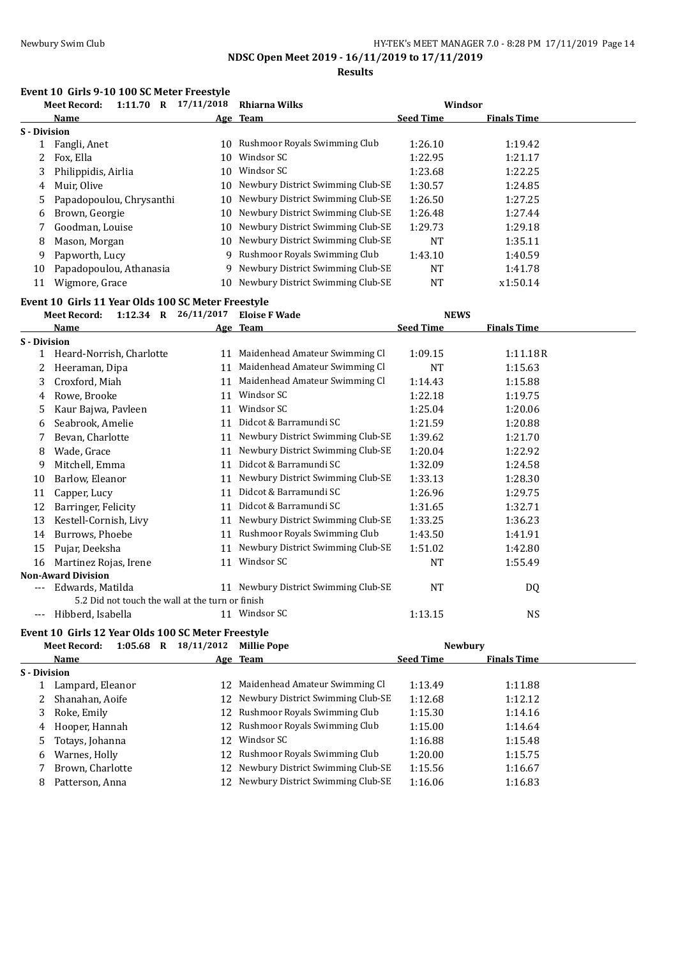**Results**

# **Event 10 Girls 9-10 100 SC Meter Freestyle**<br>Most Becordy 1111.70 B 17/11/2018

| 1:11.70<br><b>Meet Record:</b><br>$\mathbf R$ | 17/11/2018 | Rhiarna Wilks                     |                                                                                                |                    |         |
|-----------------------------------------------|------------|-----------------------------------|------------------------------------------------------------------------------------------------|--------------------|---------|
| Name                                          |            |                                   | <b>Seed Time</b>                                                                               | <b>Finals Time</b> |         |
| S - Division                                  |            |                                   |                                                                                                |                    |         |
| Fangli, Anet                                  |            | Rushmoor Royals Swimming Club     | 1:26.10                                                                                        | 1:19.42            |         |
| Fox, Ella<br>2                                | 10         | Windsor SC                        | 1:22.95                                                                                        | 1:21.17            |         |
| Philippidis, Airlia                           |            | Windsor SC                        | 1:23.68                                                                                        | 1:22.25            |         |
| Muir, Olive                                   |            | Newbury District Swimming Club-SE | 1:30.57                                                                                        | 1:24.85            |         |
| 5                                             |            | Newbury District Swimming Club-SE | 1:26.50                                                                                        | 1:27.25            |         |
| Brown, Georgie                                |            | Newbury District Swimming Club-SE | 1:26.48                                                                                        | 1:27.44            |         |
| Goodman, Louise                               |            | Newbury District Swimming Club-SE | 1:29.73                                                                                        | 1:29.18            |         |
| Mason, Morgan                                 |            | Newbury District Swimming Club-SE | <b>NT</b>                                                                                      | 1:35.11            |         |
| Papworth, Lucy                                |            |                                   | 1:43.10                                                                                        | 1:40.59            |         |
| Papadopoulou, Athanasia                       | 9          | Newbury District Swimming Club-SE | NT                                                                                             | 1:41.78            |         |
| Wigmore, Grace                                |            | Newbury District Swimming Club-SE | NT                                                                                             | x1:50.14           |         |
|                                               |            | Papadopoulou, Chrysanthi          | Age Team<br>10.<br>10<br>10.<br>10<br>10.<br>10<br>10<br>9 Rushmoor Royals Swimming Club<br>10 |                    | Windsor |

## **Event 10 Girls 11 Year Olds 100 SC Meter Freestyle**

|              | <b>Meet Record:</b><br>1:12.34 R $26/11/2017$    |    | <b>Eloise F Wade</b>                 | <b>NEWS</b>      |                    |  |
|--------------|--------------------------------------------------|----|--------------------------------------|------------------|--------------------|--|
|              | Name                                             |    | Age Team                             | <b>Seed Time</b> | <b>Finals Time</b> |  |
| S - Division |                                                  |    |                                      |                  |                    |  |
|              | Heard-Norrish, Charlotte                         | 11 | Maidenhead Amateur Swimming Cl       | 1:09.15          | 1:11.18R           |  |
| 2            | Heeraman, Dipa                                   | 11 | Maidenhead Amateur Swimming Cl       | <b>NT</b>        | 1:15.63            |  |
| 3            | Croxford, Miah                                   | 11 | Maidenhead Amateur Swimming Cl       | 1:14.43          | 1:15.88            |  |
| 4            | Rowe, Brooke                                     | 11 | Windsor SC                           | 1:22.18          | 1:19.75            |  |
| 5.           | Kaur Bajwa, Pavleen                              | 11 | Windsor SC                           | 1:25.04          | 1:20.06            |  |
| 6            | Seabrook, Amelie                                 | 11 | Didcot & Barramundi SC               | 1:21.59          | 1:20.88            |  |
|              | Bevan, Charlotte                                 | 11 | Newbury District Swimming Club-SE    | 1:39.62          | 1:21.70            |  |
| 8            | Wade, Grace                                      | 11 | Newbury District Swimming Club-SE    | 1:20.04          | 1:22.92            |  |
| 9            | Mitchell, Emma                                   | 11 | Didcot & Barramundi SC               | 1:32.09          | 1:24.58            |  |
| 10           | Barlow, Eleanor                                  | 11 | Newbury District Swimming Club-SE    | 1:33.13          | 1:28.30            |  |
| 11           | Capper, Lucy                                     | 11 | Didcot & Barramundi SC               | 1:26.96          | 1:29.75            |  |
| 12           | Barringer, Felicity                              | 11 | Didcot & Barramundi SC               | 1:31.65          | 1:32.71            |  |
| 13           | Kestell-Cornish, Livy                            | 11 | Newbury District Swimming Club-SE    | 1:33.25          | 1:36.23            |  |
| 14           | Burrows, Phoebe                                  | 11 | Rushmoor Royals Swimming Club        | 1:43.50          | 1:41.91            |  |
| 15           | Pujar, Deeksha                                   | 11 | Newbury District Swimming Club-SE    | 1:51.02          | 1:42.80            |  |
| 16           | Martinez Rojas, Irene                            | 11 | Windsor SC                           | NT               | 1:55.49            |  |
|              | <b>Non-Award Division</b>                        |    |                                      |                  |                    |  |
| ---          | Edwards, Matilda                                 |    | 11 Newbury District Swimming Club-SE | NT               | DQ                 |  |
|              | 5.2 Did not touch the wall at the turn or finish |    |                                      |                  |                    |  |
| ---          | Hibberd, Isabella                                |    | 11 Windsor SC                        | 1:13.15          | <b>NS</b>          |  |
|              |                                                  |    |                                      |                  |                    |  |

## **Event 10 Girls 12 Year Olds 100 SC Meter Freestyle**

|              | <b>Meet Record:</b> | 1:05.68 | $\bf{R}$ | 18/11/2012 | <b>Millie Pope</b>                   |                  | <b>Newbury</b>     |  |
|--------------|---------------------|---------|----------|------------|--------------------------------------|------------------|--------------------|--|
|              | Name                |         |          |            | Age Team                             | <b>Seed Time</b> | <b>Finals Time</b> |  |
| S - Division |                     |         |          |            |                                      |                  |                    |  |
|              | Lampard, Eleanor    |         |          | 12         | Maidenhead Amateur Swimming Cl       | 1:13.49          | 1:11.88            |  |
| 2            | Shanahan, Aoife     |         |          | 12         | Newbury District Swimming Club-SE    | 1:12.68          | 1:12.12            |  |
| 3            | Roke, Emily         |         |          |            | 12 Rushmoor Royals Swimming Club     | 1:15.30          | 1:14.16            |  |
| 4            | Hooper, Hannah      |         |          |            | 12 Rushmoor Royals Swimming Club     | 1:15.00          | 1:14.64            |  |
| 5.           | Totays, Johanna     |         |          | 12         | Windsor SC                           | 1:16.88          | 1:15.48            |  |
| 6            | Warnes, Holly       |         |          |            | 12 Rushmoor Royals Swimming Club     | 1:20.00          | 1:15.75            |  |
|              | Brown, Charlotte    |         |          |            | 12 Newbury District Swimming Club-SE | 1:15.56          | 1:16.67            |  |
| 8            | Patterson, Anna     |         |          |            | Newbury District Swimming Club-SE    | 1:16.06          | 1:16.83            |  |
|              |                     |         |          |            |                                      |                  |                    |  |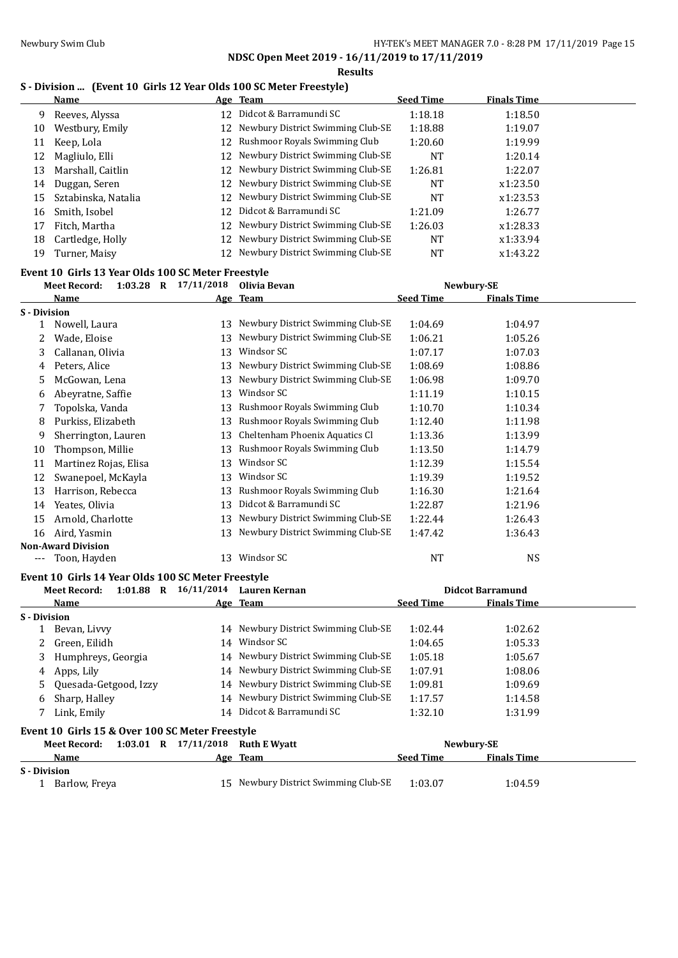### **Results**

## **S - Division ... (Event 10 Girls 12 Year Olds 100 SC Meter Freestyle)**

|    | <b>Name</b>         |     | Age Team                             | <b>Seed Time</b> | <b>Finals Time</b> |  |
|----|---------------------|-----|--------------------------------------|------------------|--------------------|--|
| 9  | Reeves, Alyssa      |     | 12 Didcot & Barramundi SC            | 1:18.18          | 1:18.50            |  |
| 10 | Westbury, Emily     |     | 12 Newbury District Swimming Club-SE | 1:18.88          | 1:19.07            |  |
| 11 | Keep, Lola          |     | 12 Rushmoor Royals Swimming Club     | 1:20.60          | 1:19.99            |  |
| 12 | Magliulo, Elli      |     | 12 Newbury District Swimming Club-SE | NT               | 1:20.14            |  |
| 13 | Marshall, Caitlin   |     | 12 Newbury District Swimming Club-SE | 1:26.81          | 1:22.07            |  |
| 14 | Duggan, Seren       |     | 12 Newbury District Swimming Club-SE | NT               | x1:23.50           |  |
| 15 | Sztabinska, Natalia |     | 12 Newbury District Swimming Club-SE | <b>NT</b>        | x1:23.53           |  |
| 16 | Smith, Isobel       | 12. | Didcot & Barramundi SC               | 1:21.09          | 1:26.77            |  |
| 17 | Fitch, Martha       |     | 12 Newbury District Swimming Club-SE | 1:26.03          | x1:28.33           |  |
| 18 | Cartledge, Holly    |     | 12 Newbury District Swimming Club-SE | <b>NT</b>        | x1:33.94           |  |
| 19 | Turner, Maisy       |     | Newbury District Swimming Club-SE    | NT               | x1:43.22           |  |

## **Event 10 Girls 13 Year Olds 100 SC Meter Freestyle**

|              | <b>Meet Record:</b>       | $1:03.28$ R $17/11/2018$ | Olivia Bevan                      | Newbury-SE       |                    |  |
|--------------|---------------------------|--------------------------|-----------------------------------|------------------|--------------------|--|
|              | Name                      |                          | Age Team                          | <b>Seed Time</b> | <b>Finals Time</b> |  |
| S - Division |                           |                          |                                   |                  |                    |  |
|              | Nowell, Laura             | 13                       | Newbury District Swimming Club-SE | 1:04.69          | 1:04.97            |  |
|              | Wade, Eloise              | 13                       | Newbury District Swimming Club-SE | 1:06.21          | 1:05.26            |  |
| 3            | Callanan, Olivia          | 13                       | Windsor SC                        | 1:07.17          | 1:07.03            |  |
| 4            | Peters, Alice             | 13                       | Newbury District Swimming Club-SE | 1:08.69          | 1:08.86            |  |
| 5.           | McGowan, Lena             | 13                       | Newbury District Swimming Club-SE | 1:06.98          | 1:09.70            |  |
| 6            | Abeyratne, Saffie         | 13                       | Windsor SC                        | 1:11.19          | 1:10.15            |  |
|              | Topolska, Vanda           | 13                       | Rushmoor Royals Swimming Club     | 1:10.70          | 1:10.34            |  |
| 8            | Purkiss, Elizabeth        | 13                       | Rushmoor Royals Swimming Club     | 1:12.40          | 1:11.98            |  |
| 9            | Sherrington, Lauren       | 13                       | Cheltenham Phoenix Aquatics Cl    | 1:13.36          | 1:13.99            |  |
| 10           | Thompson, Millie          | 13                       | Rushmoor Royals Swimming Club     | 1:13.50          | 1:14.79            |  |
| 11           | Martinez Rojas, Elisa     | 13                       | Windsor SC                        | 1:12.39          | 1:15.54            |  |
| 12           | Swanepoel, McKayla        | 13                       | Windsor SC                        | 1:19.39          | 1:19.52            |  |
| 13           | Harrison, Rebecca         | 13                       | Rushmoor Royals Swimming Club     | 1:16.30          | 1:21.64            |  |
| 14           | Yeates, Olivia            | 13                       | Didcot & Barramundi SC            | 1:22.87          | 1:21.96            |  |
| 15           | Arnold, Charlotte         | 13                       | Newbury District Swimming Club-SE | 1:22.44          | 1:26.43            |  |
| 16           | Aird, Yasmin              | 13                       | Newbury District Swimming Club-SE | 1:47.42          | 1:36.43            |  |
|              | <b>Non-Award Division</b> |                          |                                   |                  |                    |  |
|              | Toon, Hayden              | 13                       | Windsor SC                        | NT               | <b>NS</b>          |  |

#### **Event 10 Girls 14 Year Olds 100 SC Meter Freestyle**

|              | 1:01.88<br>$\mathbf R$<br>Meet Record:          | 16/11/2014 | Lauren Kernan                        |                  | <b>Didcot Barramund</b> |  |
|--------------|-------------------------------------------------|------------|--------------------------------------|------------------|-------------------------|--|
|              | Name                                            |            | Age Team                             | <b>Seed Time</b> | <b>Finals Time</b>      |  |
| S - Division |                                                 |            |                                      |                  |                         |  |
|              | Bevan, Livvy                                    |            | 14 Newbury District Swimming Club-SE | 1:02.44          | 1:02.62                 |  |
|              | Green, Eilidh                                   | 14         | Windsor SC                           | 1:04.65          | 1:05.33                 |  |
| 3            | Humphreys, Georgia                              |            | 14 Newbury District Swimming Club-SE | 1:05.18          | 1:05.67                 |  |
| 4            | Apps, Lily                                      |            | 14 Newbury District Swimming Club-SE | 1:07.91          | 1:08.06                 |  |
| 5.           | Quesada-Getgood, Izzy                           |            | 14 Newbury District Swimming Club-SE | 1:09.81          | 1:09.69                 |  |
| 6            | Sharp, Halley                                   |            | 14 Newbury District Swimming Club-SE | 1:17.57          | 1:14.58                 |  |
|              | Link, Emily                                     |            | 14 Didcot & Barramundi SC            | 1:32.10          | 1:31.99                 |  |
|              | Event 10 Girls 15 & Over 100 SC Meter Freestyle |            |                                      |                  |                         |  |
|              | $1:03.01$ R<br>Meet Record:                     | 17/11/2018 | <b>Ruth E Wyatt</b>                  |                  | Newbury-SE              |  |
|              | <b>Name</b>                                     |            | Age Team                             | <b>Seed Time</b> | <b>Finals Time</b>      |  |
| S - Division |                                                 |            |                                      |                  |                         |  |
|              | Barlow, Freya                                   | 15         | Newbury District Swimming Club-SE    | 1:03.07          | 1:04.59                 |  |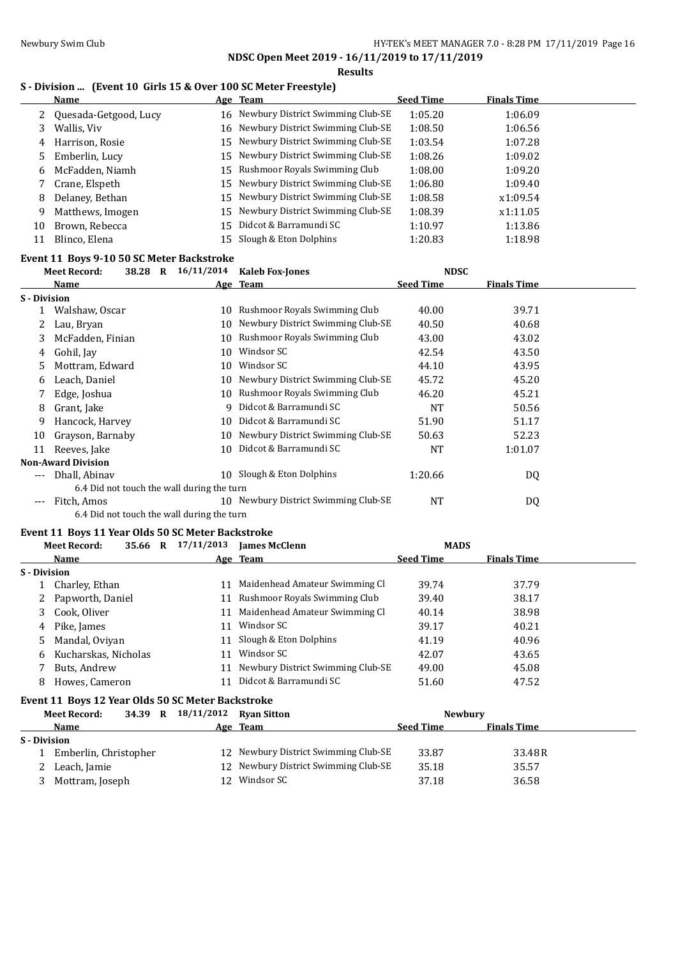# Newbury Swim Club **HY-TEK's MEET MANAGER 7.0 - 8:28 PM 17/11/2019** Page 16

**NDSC Open Meet 2019 - 16/11/2019 to 17/11/2019 Results**

## **S - Division ... (Event 10 Girls 15 & Over 100 SC Meter Freestyle)**

|    | Name                    |     | Age Team                             | <b>Seed Time</b> | <b>Finals Time</b> |  |
|----|-------------------------|-----|--------------------------------------|------------------|--------------------|--|
|    | 2 Quesada-Getgood, Lucy |     | 16 Newbury District Swimming Club-SE | 1:05.20          | 1:06.09            |  |
| 3  | Wallis, Viv             |     | 16 Newbury District Swimming Club-SE | 1:08.50          | 1:06.56            |  |
| 4  | Harrison, Rosie         |     | 15 Newbury District Swimming Club-SE | 1:03.54          | 1:07.28            |  |
| 5. | Emberlin, Lucy          |     | 15 Newbury District Swimming Club-SE | 1:08.26          | 1:09.02            |  |
| 6  | McFadden, Niamh         |     | 15 Rushmoor Royals Swimming Club     | 1:08.00          | 1:09.20            |  |
|    | Crane, Elspeth          |     | 15 Newbury District Swimming Club-SE | 1:06.80          | 1:09.40            |  |
| 8  | Delaney, Bethan         |     | 15 Newbury District Swimming Club-SE | 1:08.58          | x1:09.54           |  |
| 9  | Matthews, Imogen        |     | 15 Newbury District Swimming Club-SE | 1:08.39          | x1:11.05           |  |
| 10 | Brown, Rebecca          | 15. | Didcot & Barramundi SC               | 1:10.97          | 1:13.86            |  |
| 11 | Blinco, Elena           | 15. | Slough & Eton Dolphins               | 1:20.83          | 1:18.98            |  |

### **Event 11 Boys 9-10 50 SC Meter Backstroke**

|                     | $\mathbf{R}$<br><b>Meet Record:</b><br>38.28 | 16/11/2014 | <b>Kaleb Fox-Jones</b>            | <b>NDSC</b>      |                    |  |
|---------------------|----------------------------------------------|------------|-----------------------------------|------------------|--------------------|--|
|                     | Name                                         |            | Age Team                          | <b>Seed Time</b> | <b>Finals Time</b> |  |
| <b>S</b> - Division |                                              |            |                                   |                  |                    |  |
|                     | Walshaw, Oscar                               | 10         | Rushmoor Royals Swimming Club     | 40.00            | 39.71              |  |
|                     | Lau, Bryan                                   | 10.        | Newbury District Swimming Club-SE | 40.50            | 40.68              |  |
| 3                   | McFadden, Finian                             | 10.        | Rushmoor Royals Swimming Club     | 43.00            | 43.02              |  |
| 4                   | Gohil, Jay                                   | 10         | Windsor SC                        | 42.54            | 43.50              |  |
| 5.                  | Mottram, Edward                              | 10         | Windsor SC                        | 44.10            | 43.95              |  |
| 6                   | Leach, Daniel                                | 10         | Newbury District Swimming Club-SE | 45.72            | 45.20              |  |
|                     | Edge, Joshua                                 | 10         | Rushmoor Royals Swimming Club     | 46.20            | 45.21              |  |
| 8                   | Grant, Jake                                  | q          | Didcot & Barramundi SC            | NT               | 50.56              |  |
| 9                   | Hancock, Harvey                              | 10         | Didcot & Barramundi SC            | 51.90            | 51.17              |  |
| 10                  | Grayson, Barnaby                             | 10.        | Newbury District Swimming Club-SE | 50.63            | 52.23              |  |
| 11                  | Reeves, Jake                                 | 10         | Didcot & Barramundi SC            | <b>NT</b>        | 1:01.07            |  |
|                     | <b>Non-Award Division</b>                    |            |                                   |                  |                    |  |
| $- - -$             | Dhall, Abinay                                |            | 10 Slough & Eton Dolphins         | 1:20.66          | DQ                 |  |
|                     | 6.4 Did not touch the wall during the turn   |            |                                   |                  |                    |  |
| $---$               | Fitch, Amos                                  | 10         | Newbury District Swimming Club-SE | <b>NT</b>        | DQ                 |  |
|                     | 6.4 Did not touch the wall during the turn   |            |                                   |                  |                    |  |

## **Event 11 Boys 11 Year Olds 50 SC Meter Backstroke**

|              | <b>Meet Record:</b>  | 35.66 | R | 17/11/2013 | <b>Iames McClenn</b>              | <b>MADS</b>      |                    |  |
|--------------|----------------------|-------|---|------------|-----------------------------------|------------------|--------------------|--|
|              | Name                 |       |   |            | Age Team                          | <b>Seed Time</b> | <b>Finals Time</b> |  |
| S - Division |                      |       |   |            |                                   |                  |                    |  |
|              | Charley, Ethan       |       |   |            | Maidenhead Amateur Swimming Cl    | 39.74            | 37.79              |  |
|              | 2 Papworth, Daniel   |       |   |            | 11 Rushmoor Royals Swimming Club  | 39.40            | 38.17              |  |
|              | 3 Cook, Oliver       |       |   |            | Maidenhead Amateur Swimming Cl    | 40.14            | 38.98              |  |
| 4            | Pike, James          |       |   | 11         | Windsor SC                        | 39.17            | 40.21              |  |
|              | 5 Mandal, Oviyan     |       |   | 11         | Slough & Eton Dolphins            | 41.19            | 40.96              |  |
| 6            | Kucharskas, Nicholas |       |   | 11         | Windsor SC                        | 42.07            | 43.65              |  |
|              | Buts, Andrew         |       |   | 11         | Newbury District Swimming Club-SE | 49.00            | 45.08              |  |
| 8            | Howes, Cameron       |       |   |            | Didcot & Barramundi SC            | 51.60            | 47.52              |  |

## **Event 11 Boys 12 Year Olds 50 SC Meter Backstroke**

|              | <b>Meet Record:</b>   |  | 34.39 R 18/11/2012 Ryan Sitton |                                      |                  | <b>Newbury</b>     |  |
|--------------|-----------------------|--|--------------------------------|--------------------------------------|------------------|--------------------|--|
|              | <b>Name</b>           |  |                                | Age Team                             | <b>Seed Time</b> | <b>Finals Time</b> |  |
| S - Division |                       |  |                                |                                      |                  |                    |  |
|              | Emberlin, Christopher |  |                                | 12 Newbury District Swimming Club-SE | 33.87            | 33.48R             |  |
|              | Leach, Jamie          |  |                                | 12 Newbury District Swimming Club-SE | 35.18            | 35.57              |  |
|              | Mottram, Joseph       |  |                                | 12 Windsor SC                        | 37.18            | 36.58              |  |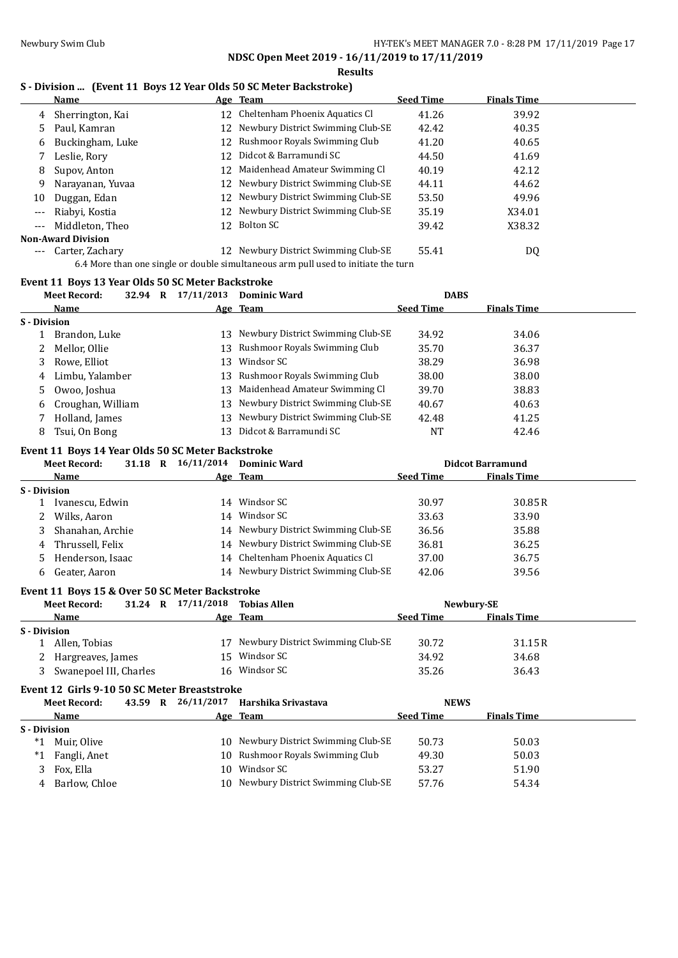### **Results**

## **S - Division ... (Event 11 Boys 12 Year Olds 50 SC Meter Backstroke)**

|                     | Name                      |     | Age Team                                                                           | <b>Seed Time</b> | <b>Finals Time</b> |  |
|---------------------|---------------------------|-----|------------------------------------------------------------------------------------|------------------|--------------------|--|
| 4                   | Sherrington, Kai          |     | 12 Cheltenham Phoenix Aquatics Cl                                                  | 41.26            | 39.92              |  |
|                     | 5 Paul, Kamran            |     | 12 Newbury District Swimming Club-SE                                               | 42.42            | 40.35              |  |
| 6                   | Buckingham, Luke          |     | 12 Rushmoor Royals Swimming Club                                                   | 41.20            | 40.65              |  |
|                     | Leslie, Rory              | 12. | Didcot & Barramundi SC                                                             | 44.50            | 41.69              |  |
| 8                   | Supov, Anton              |     | 12 Maidenhead Amateur Swimming Cl                                                  | 40.19            | 42.12              |  |
| 9                   | Narayanan, Yuvaa          |     | 12 Newbury District Swimming Club-SE                                               | 44.11            | 44.62              |  |
| 10                  | Duggan, Edan              |     | 12 Newbury District Swimming Club-SE                                               | 53.50            | 49.96              |  |
| $---$               | Riabyi, Kostia            |     | 12 Newbury District Swimming Club-SE                                               | 35.19            | X34.01             |  |
| $\cdots$            | Middleton, Theo           |     | 12 Bolton SC                                                                       | 39.42            | X38.32             |  |
|                     | <b>Non-Award Division</b> |     |                                                                                    |                  |                    |  |
| $\qquad \qquad - -$ | Carter, Zachary           |     | 12 Newbury District Swimming Club-SE                                               | 55.41            | DQ                 |  |
|                     |                           |     | 6.4 More than one single or double simultaneous arm pull used to initiate the turn |                  |                    |  |

### **Event 11 Boys 13 Year Olds 50 SC Meter Backstroke**

| <b>Meet Record:</b>                               | 32.94 R 17/11/2013 Dominic Ward |                                        | <b>DABS</b>      |                         |  |
|---------------------------------------------------|---------------------------------|----------------------------------------|------------------|-------------------------|--|
| <b>Name</b>                                       |                                 | Age Team                               | <b>Seed Time</b> | <b>Finals Time</b>      |  |
| S - Division                                      |                                 |                                        |                  |                         |  |
| 1 Brandon, Luke                                   |                                 | 13 Newbury District Swimming Club-SE   | 34.92            | 34.06                   |  |
| Mellor, Ollie<br>2                                | 13                              | Rushmoor Royals Swimming Club          | 35.70            | 36.37                   |  |
| Rowe, Elliot<br>3                                 | 13                              | Windsor SC                             | 38.29            | 36.98                   |  |
| Limbu, Yalamber<br>4                              | 13                              | Rushmoor Royals Swimming Club          | 38.00            | 38.00                   |  |
| Owoo, Joshua<br>5                                 | 13                              | Maidenhead Amateur Swimming Cl         | 39.70            | 38.83                   |  |
| Croughan, William<br>6                            | 13                              | Newbury District Swimming Club-SE      | 40.67            | 40.63                   |  |
| Holland, James<br>7                               | 13                              | Newbury District Swimming Club-SE      | 42.48            | 41.25                   |  |
| Tsui, On Bong<br>8                                | 13                              | Didcot & Barramundi SC                 | <b>NT</b>        | 42.46                   |  |
| Event 11 Boys 14 Year Olds 50 SC Meter Backstroke |                                 |                                        |                  |                         |  |
| <b>Meet Record:</b>                               | 31.18 R 16/11/2014 Dominic Ward |                                        |                  | <b>Didcot Barramund</b> |  |
| Name                                              |                                 | Age Team                               | <b>Seed Time</b> | <b>Finals Time</b>      |  |
| S - Division                                      |                                 |                                        |                  |                         |  |
| 1 Ivanescu, Edwin                                 |                                 | 14 Windsor SC                          | 30.97            | 30.85R                  |  |
| Wilks, Aaron<br>2                                 |                                 | 14 Windsor SC                          | 33.63            | 33.90                   |  |
| Shanahan, Archie<br>3                             |                                 | 14 Newbury District Swimming Club-SE   | 36.56            | 35.88                   |  |
| Thrussell, Felix<br>4                             |                                 | 14 Newbury District Swimming Club-SE   | 36.81            | 36.25                   |  |
| Henderson, Isaac<br>5                             |                                 | 14 Cheltenham Phoenix Aquatics Cl      | 37.00            | 36.75                   |  |
| Geater, Aaron<br>6                                |                                 | 14 Newbury District Swimming Club-SE   | 42.06            | 39.56                   |  |
| Event 11 Boys 15 & Over 50 SC Meter Backstroke    |                                 |                                        |                  |                         |  |
| <b>Meet Record:</b>                               | 31.24 R 17/11/2018 Tobias Allen |                                        |                  | Newbury-SE              |  |
| Name                                              |                                 | Age Team                               | <b>Seed Time</b> | <b>Finals Time</b>      |  |
| S - Division                                      |                                 |                                        |                  |                         |  |
| 1 Allen, Tobias                                   |                                 | 17 Newbury District Swimming Club-SE   | 30.72            | 31.15R                  |  |
| Hargreaves, James<br>2                            | 15                              | Windsor SC                             | 34.92            | 34.68                   |  |
| Swanepoel III, Charles<br>3                       |                                 | 16 Windsor SC                          | 35.26            | 36.43                   |  |
| Event 12 Girls 9-10 50 SC Meter Breaststroke      |                                 |                                        |                  |                         |  |
| <b>Meet Record:</b>                               |                                 | 43.59 R 26/11/2017 Harshika Srivastava | <b>NEWS</b>      |                         |  |
| Name                                              |                                 | Age Team                               | <b>Seed Time</b> | <b>Finals Time</b>      |  |
| S - Division                                      |                                 |                                        |                  |                         |  |
| *1<br>Muir, Olive                                 |                                 | 10 Newbury District Swimming Club-SE   | 50.73            | 50.03                   |  |
| Fangli, Anet<br>$*1$                              |                                 | 10 Rushmoor Royals Swimming Club       | 49.30            | 50.03                   |  |
| 3<br>Fox, Ella                                    |                                 | 10 Windsor SC                          | 53.27            | 51.90                   |  |

4 Barlow, Chloe 10 Newbury District Swimming Club-SE 57.76 54.34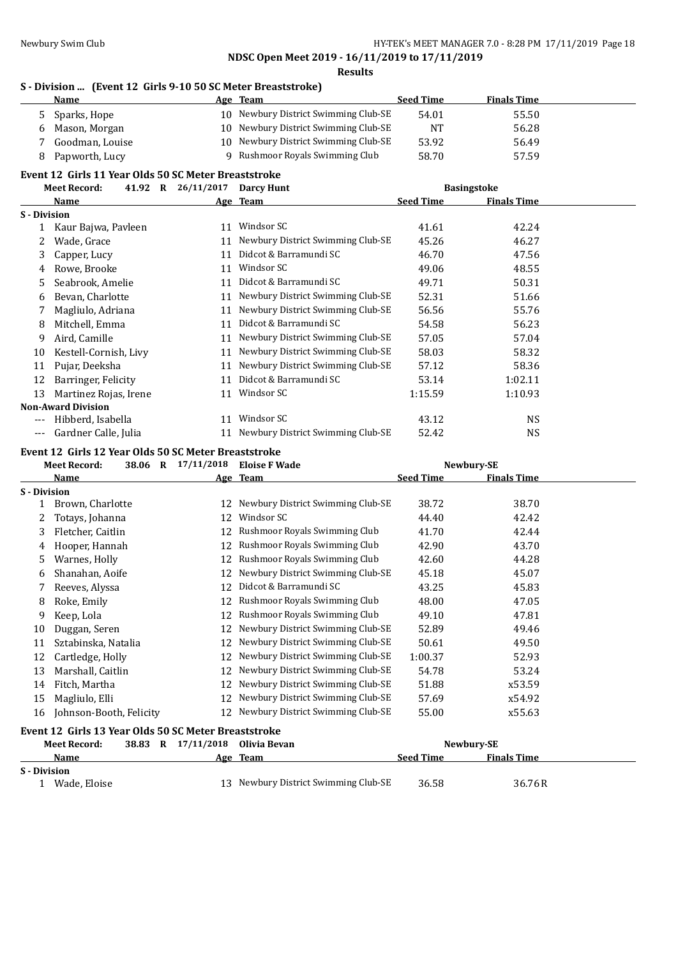## **Results**

## **S - Division ... (Event 12 Girls 9-10 50 SC Meter Breaststroke)**

|                     | <b>Name</b>                                          |                               | Age Team                             | <b>Seed Time</b> | <b>Finals Time</b> |  |
|---------------------|------------------------------------------------------|-------------------------------|--------------------------------------|------------------|--------------------|--|
| 5.                  | Sparks, Hope                                         |                               | 10 Newbury District Swimming Club-SE | 54.01            | 55.50              |  |
| 6                   | Mason, Morgan                                        |                               | 10 Newbury District Swimming Club-SE | NT               | 56.28              |  |
| 7                   | Goodman, Louise                                      |                               | 10 Newbury District Swimming Club-SE | 53.92            | 56.49              |  |
| 8                   | Papworth, Lucy                                       | 9                             | Rushmoor Royals Swimming Club        | 58.70            | 57.59              |  |
|                     | Event 12 Girls 11 Year Olds 50 SC Meter Breaststroke |                               |                                      |                  |                    |  |
|                     | <b>Meet Record:</b>                                  | 41.92 R 26/11/2017 Darcy Hunt |                                      |                  | <b>Basingstoke</b> |  |
|                     | Name                                                 |                               | Age Team                             | <b>Seed Time</b> | <b>Finals Time</b> |  |
| S - Division        |                                                      |                               |                                      |                  |                    |  |
| $\mathbf{1}$        | Kaur Bajwa, Pavleen                                  |                               | 11 Windsor SC                        | 41.61            | 42.24              |  |
| 2                   | Wade, Grace                                          |                               | 11 Newbury District Swimming Club-SE | 45.26            | 46.27              |  |
| 3                   | Capper, Lucy                                         |                               | 11 Didcot & Barramundi SC            | 46.70            | 47.56              |  |
| 4                   | Rowe, Brooke                                         |                               | 11 Windsor SC                        | 49.06            | 48.55              |  |
| 5                   | Seabrook, Amelie                                     |                               | 11 Didcot & Barramundi SC            | 49.71            | 50.31              |  |
| 6                   | Bevan, Charlotte                                     |                               | 11 Newbury District Swimming Club-SE | 52.31            | 51.66              |  |
| 7                   | Magliulo, Adriana                                    |                               | 11 Newbury District Swimming Club-SE | 56.56            | 55.76              |  |
| 8                   | Mitchell, Emma                                       |                               | 11 Didcot & Barramundi SC            | 54.58            | 56.23              |  |
| 9                   | Aird, Camille                                        |                               | 11 Newbury District Swimming Club-SE | 57.05            | 57.04              |  |
| 10                  | Kestell-Cornish, Livy                                |                               | 11 Newbury District Swimming Club-SE | 58.03            | 58.32              |  |
| 11                  | Pujar, Deeksha                                       |                               | 11 Newbury District Swimming Club-SE | 57.12            | 58.36              |  |
| 12                  | Barringer, Felicity                                  |                               | 11 Didcot & Barramundi SC            | 53.14            | 1:02.11            |  |
| 13                  | Martinez Rojas, Irene                                |                               | 11 Windsor SC                        | 1:15.59          | 1:10.93            |  |
|                     | <b>Non-Award Division</b>                            |                               |                                      |                  |                    |  |
| $---$               | Hibberd, Isabella                                    |                               | 11 Windsor SC                        | 43.12            | <b>NS</b>          |  |
| $---$               | Gardner Calle, Julia                                 |                               | 11 Newbury District Swimming Club-SE | 52.42            | <b>NS</b>          |  |
|                     | Event 12 Girls 12 Year Olds 50 SC Meter Breaststroke |                               |                                      |                  |                    |  |
|                     | <b>Meet Record:</b>                                  | 38.06 R 17/11/2018            | <b>Eloise F Wade</b>                 |                  | Newbury-SE         |  |
|                     | Name                                                 |                               | Age Team                             | <b>Seed Time</b> | <b>Finals Time</b> |  |
| S - Division        |                                                      |                               |                                      |                  |                    |  |
| 1                   | Brown, Charlotte                                     |                               |                                      |                  |                    |  |
| 2                   |                                                      |                               | 12 Newbury District Swimming Club-SE | 38.72            | 38.70              |  |
|                     | Totays, Johanna                                      |                               | 12 Windsor SC                        | 44.40            | 42.42              |  |
| 3                   | Fletcher, Caitlin                                    |                               | 12 Rushmoor Royals Swimming Club     | 41.70            | 42.44              |  |
| 4                   | Hooper, Hannah                                       |                               | 12 Rushmoor Royals Swimming Club     | 42.90            | 43.70              |  |
| 5                   | Warnes, Holly                                        |                               | 12 Rushmoor Royals Swimming Club     | 42.60            | 44.28              |  |
| 6                   | Shanahan, Aoife                                      |                               | 12 Newbury District Swimming Club-SE | 45.18            | 45.07              |  |
| 7                   | Reeves, Alyssa                                       |                               | 12 Didcot & Barramundi SC            | 43.25            | 45.83              |  |
| 8                   | Roke, Emily                                          |                               | 12 Rushmoor Rovals Swimming Club     | 48.00            | 47.05              |  |
| 9                   | Keep, Lola                                           |                               | 12 Rushmoor Royals Swimming Club     | 49.10            | 47.81              |  |
| 10                  | Duggan, Seren                                        |                               | 12 Newbury District Swimming Club-SE | 52.89            | 49.46              |  |
| 11                  | Sztabinska, Natalia                                  |                               | 12 Newbury District Swimming Club-SE | 50.61            | 49.50              |  |
| 12                  | Cartledge, Holly                                     |                               | 12 Newbury District Swimming Club-SE | 1:00.37          | 52.93              |  |
| 13                  | Marshall, Caitlin                                    |                               | 12 Newbury District Swimming Club-SE | 54.78            | 53.24              |  |
| 14                  |                                                      |                               | 12 Newbury District Swimming Club-SE | 51.88            | x53.59             |  |
| 15                  | Fitch, Martha                                        | 12                            | Newbury District Swimming Club-SE    | 57.69            | x54.92             |  |
| 16                  | Magliulo, Elli                                       | 12                            | Newbury District Swimming Club-SE    | 55.00            | x55.63             |  |
|                     | Johnson-Booth, Felicity                              |                               |                                      |                  |                    |  |
|                     | Event 12 Girls 13 Year Olds 50 SC Meter Breaststroke |                               |                                      |                  |                    |  |
|                     | <b>Meet Record:</b>                                  | 38.83 R 17/11/2018            | Olivia Bevan                         |                  | Newbury-SE         |  |
|                     | Name                                                 |                               | Age Team                             | <b>Seed Time</b> | <b>Finals Time</b> |  |
| <b>S</b> - Division | 1 Wade, Eloise                                       |                               | 13 Newbury District Swimming Club-SE | 36.58            | 36.76R             |  |